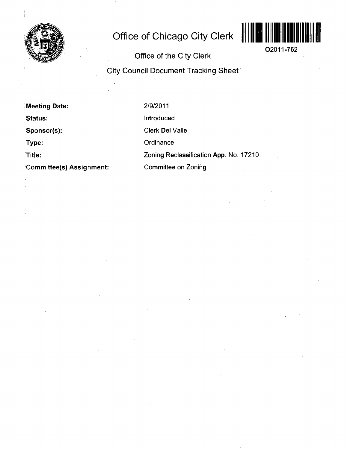

# **Office of Chicago City Clerk**



**02011-762** 

**Office of the City Clerk City Council Document Tracking Sheet** 

**Meeting Date: Status: Sponsor(s): Type: title: Committee(s) Assignment:**  2/9/2011 Introduced Clerk Del Valle **Ordinance** Zoning Reclassification App. No. 17210 Committee on Zoning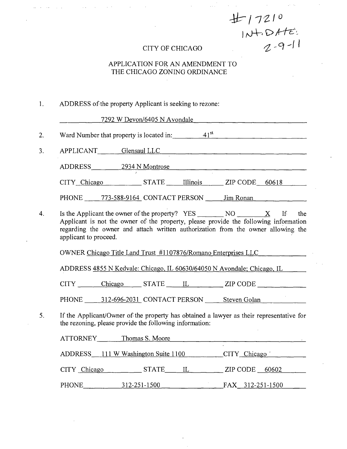*E* 17210<br>
INTO ATE:<br>
CITY OF CHICAGO 2-9-11

### APPLICATION FOR AN AMENDMENT TO THE CHICAGO ZONING ORDINANCE

### 1. ADDRESS of the property Applicant is seeking to rezone:

7292 W Devon/6405 N Avondale

2. Ward Number that property is located in:  $41<sup>st</sup>$ 

3. APPLICANT Glensaul LLC

ADDRESS 2934 N Montrose

 $CITY$  Chicago  $STATE$  Illinois  $ZIP$  CODE 60618

PHONE 773-588-9164 CONTACT PERSON Jim Ronan

4. Is the Applicant the owner of the property? YES NO X If the Applicant is not the owner of the property, please provide the following information regarding the owner and attach written authorization from the owner allowing the applicant to proceed.

OWNER Chicago Title Land Tmst #1107876/Romano Enterprises LLC

ADDRESS 4855 N Kedvale: Chicago, IL 60630/64050 N Avondale; Chicago. IL

CITY Chicago STATE IL ZIP CODE

PHONE 312-696-2031 CONTACT PERSON Steven Golan

5. If the Applicant/Owner of the property has obtained a lawyer as their representative for the rezoning, please provide the following information:

| <b>ATTORNEY</b> | Thomas S. Moore                     |                  |
|-----------------|-------------------------------------|------------------|
|                 | ADDRESS 111 W Washington Suite 1100 | CITY Chicago     |
| CITY Chicago    | STATE<br>IL                         | ZIP CODE $60602$ |
| PHONE           | 312-251-1500                        | FAX 312-251-1500 |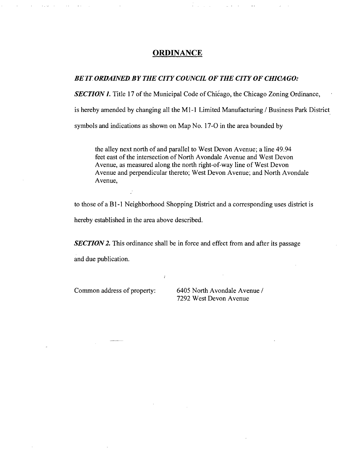### **ORDINANCE**

### BE IT ORDAINED BY THE CITY COUNCIL OF THE CITY OF CHICAGO:

**SECTION 1.** Title 17 of the Municipal Code of Chicago, the Chicago Zoning Ordinance,

is hereby amended by changing all the Ml-I Limited Manufacturing / Business Park District

symbols and indications as shown on Map No. 17-0 in the area bounded by

the alley next north of and parallel to West Devon Avenue; a line 49.94 feet east of the intersection of North Avondale Avenue and West Devon Avenue, as measured along the north right-of-way line of West Devon Avenue and perpendicular thereto; West Devon Avenue; and North Avondale Avenue,

to those of a Bl-1 Neighborhood Shopping District and a corresponding uses district is

hereby established in the area above described.

**SECTION 2.** This ordinance shall be in force and effect from and after its passage

and due publication.

Common address of property: 6405 North Avondale Avenue / 7292 West Devon Avenue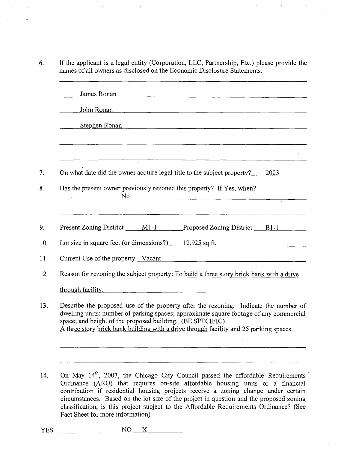6. If the applicant is a legal entity (Corporation, LLC, Partnership, Etc.) please provide the names of all owners as disclosed on the Economic Disclosure Statements.

 $\sim$  .

and the control of the control of the

 $\mathbb{R}^2$ 

| James Ronan<br><u> 1980 - Jan James School, Amerikaansk politiker († 1908)</u>                                                                                                                                                                                                                                                        |
|---------------------------------------------------------------------------------------------------------------------------------------------------------------------------------------------------------------------------------------------------------------------------------------------------------------------------------------|
| John Ronan                                                                                                                                                                                                                                                                                                                            |
| Stephen Ronan                                                                                                                                                                                                                                                                                                                         |
|                                                                                                                                                                                                                                                                                                                                       |
|                                                                                                                                                                                                                                                                                                                                       |
| On what date did the owner acquire legal title to the subject property? 2003                                                                                                                                                                                                                                                          |
| Has the present owner previously rezoned this property? If Yes, when?<br>No                                                                                                                                                                                                                                                           |
|                                                                                                                                                                                                                                                                                                                                       |
| Present Zoning District _____ M1-I _______Proposed Zoning District ____ B1-1                                                                                                                                                                                                                                                          |
| Lot size in square feet (or dimensions?) $\qquad 12,925$ sq ft.                                                                                                                                                                                                                                                                       |
| Current Use of the property Vacant                                                                                                                                                                                                                                                                                                    |
| Reason for rezoning the subject property: To build a three story brick bank with a drive                                                                                                                                                                                                                                              |
| through facility.                                                                                                                                                                                                                                                                                                                     |
| Describe the proposed use of the property after the rezoning. Indicate the number of<br>dwelling units; number of parking spaces; approximate square footage of any commercial<br>space; and height of the proposed building. (BE SPECIFIC)<br>A three story brick bank building with a drive through facility and 25 parking spaces. |
|                                                                                                                                                                                                                                                                                                                                       |
|                                                                                                                                                                                                                                                                                                                                       |
|                                                                                                                                                                                                                                                                                                                                       |

14. On May 14<sup>th</sup>, 2007, the Chicago City Council passed the affordable Requirements Ordinance (ARO) that requires on-site affordable housing units or a financial contribution if residential housing projects receive a zoning change under certain circumstances. Based on the lot size of the project in question and the proposed zoning classification, is this project subject to the Affordable Requirements Ordinance? (See Fact Sheet for more information).

YES NO X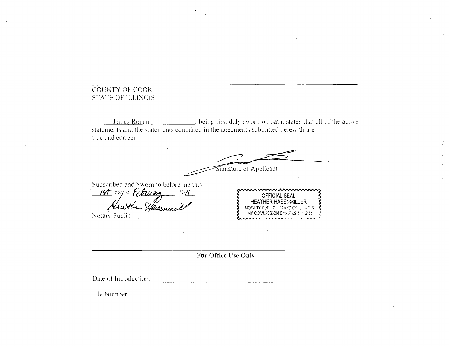### COUNTY OF COOK STATE OF ILLINOIS

James Ronan . . . . . . . . . . . . . . being first duly sworn on oath, states that all of the above statements and the statements eontained in the doeuments submitted herewith are true and eorreei.

Subscribed and Sworn lo before ine this 14 day of Echuay 2011 Signature of Applicant OFFICIAL SEAL HEATHER HASENMILLER NOTARY PUBLIC - STATE OF ILLINOIS MY COMMISSION EXPIRES:11/13/11

Notary Publie

**For Office lise Ooly** 

Date of introduction:

File Number: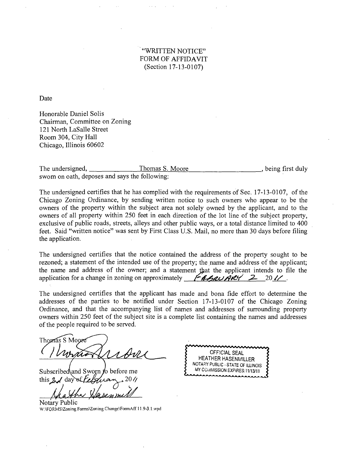### "WRITTEN NOTICE" FORM OF AFFIDAVIT (Section 17-13-0107)

Date

Honorable Daniel Solis Chairman, Committee on Zoning 121 North LaSalle Street Room 304, City Hall Chicago, Illinois 60602

The undersigned, Thomas S. Moore \_, being first duly swom on oath, deposes and says the following:

The undersigned certifies that he has complied with the requirements of Sec. 17-13-0107, of the Chicago Zoning Ordinance, by sending written notice to such owners who appear to be the owners of the property within the subject area not solely owned by the applicant, and to the owners of all property within 250 feet in each direction of the lot line of the subject property, exclusive of public roads, streets, alleys and other public ways, or a total distance limited to 400 feet. Said "written notice" was sent by First Class U.S. Mail, no more than 30 days before filing the application.

The undersigned certifies that the notice contained the address of the property sought to be rezoned; a statement of the intended use of the property; the name and address of the applicant; the name and address of the owner; and a statement that the applicant intends to file the application for a change in zoning on approximately  $\mathcal{L}_{\mathcal{A}}$ 

The undersigned certifies that the applicant has made and bona fide effort to determine the addresses of the parties to be notified under Section 17-13-0107 of the Chicago Zoning Ordinance, and that the accompanying list of names and addresses of surrounding property owners within 250 feet of the subject site is a complete list containing the names and addresses of the people required to be served.

Thomas S Moore

Subscribed and Sworn to before me this  $2/d$  day

OFFICIAL SEAL HEATHER HASENMILLER NOTARY PUBUC - STATE OF ILLINOIS MY COI/IMISSION EXPIRES: 11/13/11

Notary Public W:\FORMS\Zoning Forms\Zoning Change\FormAff 11.9-3.1.wpd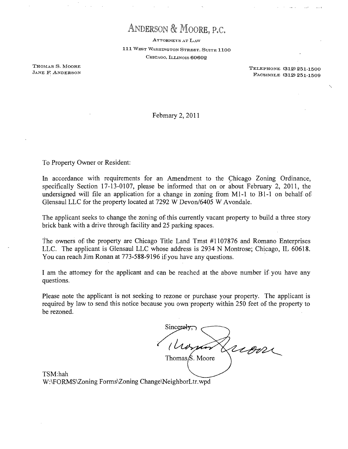# ANDERSON & MOORE, P.C.

ATTORNEYS AT LAW 111 WEST WASHINGTON STREET, SUITE 1100 CHICAGO, LLLINOIS 60602

THOMAS S. MOORK TELEPHON E (312) 251-1500 FACSIMILE (312) 251-1509

Febmary 2, 2011

To Property Owner or Resident;

In accordance with requirements for an Amendment to the Chicago Zoning Ordinance, specifically Section 17-13-0107, please be informed that on or about February 2, 2011, the undersigned will file an application for a change in zoning from M<sub>1</sub>-1 to B<sub>1</sub>-1 on behalf of Glensaul LLC for the property located at 7292 W Devon/6405 W Avondale.

The applicant seeks to change the zoning of this currently vacant property to build a three story brick bank with a drive through facility and 25 parking spaces.

the owners of the property are Chicago Title Land Tmst #1107876 and Romano Enterprises LLC. The applicant is Glensaul LLC whose address is 2934 N Montrose; Chicago, IL 60618. You can reach Jim Ronan at 773-588-9196 if you have any questions.

I am the attomey for the applicant and can be reached at the above number if you have any questions.

Please note the applicant is not seeking to rezone or purchase your property. The applicant is required by law to send this notice because you own property within 250 feet of the property to be rezoned.

rion Thomas $\beta$ . Moore

TSM:hah W:\FORMS\Zoning Forms\Zoning Change\NeighborLtr.wpd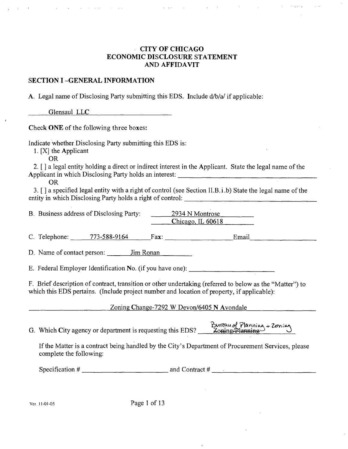### **CITY OF CHICAGO ECONOMIC DISCLOSURE STATEMENT AND AFFIDAVIT**

### **SECTION I -GENERAL INFORMATION**

A. Legal name of Disclosing Party submitting this EDS. Include d/b/a/ if applicable:

Glensaul LLC

Check ONE of the following three boxes:

Indicate whether Disclosing Party submittiog this EDS is:

1. [XJ the Applicant

OR

2. [ J a legal entity holding a direct or indirect interest in the Applicant. State the legal name of the Applicant in which Disclosing Party holds an interest:

OR

3. [ J a specified legal entity with a right of control (see Section ll.B.i.b) State the legal name of the entity in which Disclosing Party holds a right of control:

B. Business address of Disclosing Party: 2934 N Montrose Chicago. IL 60618

C. Telephone:  $773-588-9164$  Fax: Email

D. Name of contact person: Jim Ronan

E. Federal Employer Identification No. (if you have one):

F. Brief description of contract, transition or other undertaking (referred to below as the "Matter") to which this EDS pertains. (Include project number and location of property, if applicable):

Zoning Change-7292 W Devon/6405 N Avondale

G. Which City agency or department is requesting this EDS?  $\frac{Bw}{20m\pi\mu}$   $\frac{Bw}{20m\pi}$  via

If the Matter is a contract being handled by the City's Department of Procurement Services, please complete the following:

Ver. 11-01-05 Page 1 of 13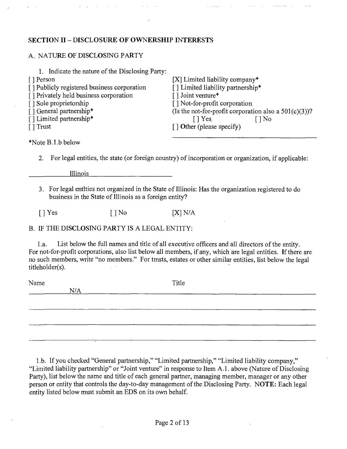### **SECTION II - DISCLOSURE OF OWNERSHIP INTERESTS**

### A. NATURE OF DISCLOSING PARTY

| 1. Indicate the nature of the Disclosing Party: |                                                          |
|-------------------------------------------------|----------------------------------------------------------|
| [ ] Person                                      | $[X]$ Limited liability company*                         |
| [] Publicly registered business corporation     | [] Limited liability partnership*                        |
| [] Privately held business corporation          | [] Joint venture*                                        |
| [] Sole proprietorship                          | [] Not-for-profit corporation                            |
| [] General partnership*                         | (Is the not-for-profit corporation also a $501(c)(3)$ )? |
| [] Limited partnership*                         | $\lceil \cdot \rceil$ Yes<br>$ $ No                      |
| $\lceil \cdot \rceil$ Trust                     | $\lceil$ Other (please specify)                          |
|                                                 |                                                          |

\*Note B.I.b below

2. For legal entities, the state (or foreign country) of incorporation or organization, if applicable:

Illinois

N/A

3. For legal entities not organized in the State of Illinois: Has the organization registered to do business in the State of Illinois as a foreign entity?

 $[ ]$  Yes  $[ ]$  No  $[$   $[$   $]$   $]$   $[$   $]$   $[$   $]$   $[$   $]$   $[$   $]$   $[$   $]$   $[$   $]$   $[$   $]$   $[$   $]$   $[$   $]$   $[$   $]$   $[$   $]$   $[$   $]$   $[$   $]$   $[$   $]$   $[$   $]$   $[$   $]$   $[$   $]$   $[$   $]$   $[$   $]$   $[$   $]$   $[$   $]$   $[$   $]$   $[$   $]$   $[$ 

B. IF THE DISCLOSING PARTY IS A LEGAL ENTITY;

l.a. List below the full names and title ofall executive officers and all directors of the entity. For not-for-profit corporations, also list below all members, if any, which are legal entities. If there are no such members, write "no members." For tmsts, estates or other similar entities, list below the legal titieholder(s).

Name Title

1 .b. If you checked "General partnership," "Limited partnership," "Limited liability company," "Limited liability partnership" or "Joint venture" in response to Item A.l . above (Nature of Disclosing Party), list below the name and title of each general partner, managing member, manager or any other person or entity that controls the day-to-day management of the Disclosing Party. NOTE: Each legal entity listed below must submit an EDS on its own behalf.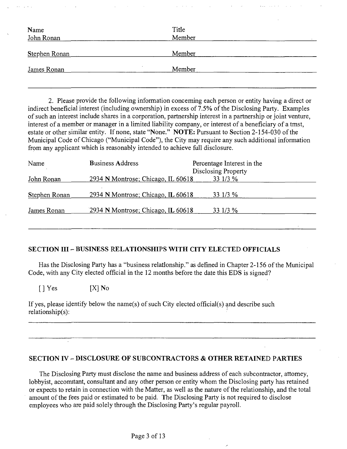| Name<br>John Ronan   | Title<br>Member |
|----------------------|-----------------|
| <b>Stephen Ronan</b> | Member          |
| James Ronan          | Member          |

2. Please provide the following information conceming each person or entity having a direct or indirect beneficial interest (including ownership) in excess of 7.5% of the Disclosing Party. Examples of such an interest include shares in a corporation, partnership interest in a partnership or joint venture, interest of a member or manager in a limited liability company, or interest of a beneficiary of a tmst, estate or other similar entity. If none, state "None." NOTE: Pursuant to Section 2-154-030 of the Municipal Code of Chicago ("Municipal Code"), the City may require any such additional information from any applicant which is reasonably intended to achieve full disclosure.

| Name          | <b>Business Address</b>            | Percentage Interest in the<br>Disclosing Property |
|---------------|------------------------------------|---------------------------------------------------|
| John Ronan    | 2934 N Montrose; Chicago, IL 60618 | 33 1/3 %                                          |
| Stephen Ronan | 2934 N Montrose; Chicago, IL 60618 | 33 1/3 %                                          |
| James Ronan   | 2934 N Montrose; Chicago, IL 60618 | 33 1/3 %                                          |

### **SECTION III - BUSINESS RELATIONSHIPS WITH CITY ELECTED OFFICIALS**

Has the Disclosing Party has a "business relationship." as defined in Chapter 2-156 of the Municipal Code, with any City elected official in the 12 months before the date this EDS is signed?

 $[ ]$  Yes  $[X]$  No

If yes, please identify below the name(s) of such City elected official(s) and describe such relationship(s):

### **SECTION IV - DISCLOSURE OF SUBCONTRACTORS & OTHER RETAINED PARTIES**

The Disclosing Party must disclose the name and business address of each subcontractor, attomey, lobbyist, accomitant, consultant and any other person or entity whom the Disclosing party has retained or expects to retain in connection with the Matter, as well as the nature of the relationship, and the total amount of the fees paid or estimated to be paid. The Disclosing Party is not required to disclose employees who are paid solely through the Disclosing Party's regular payroll.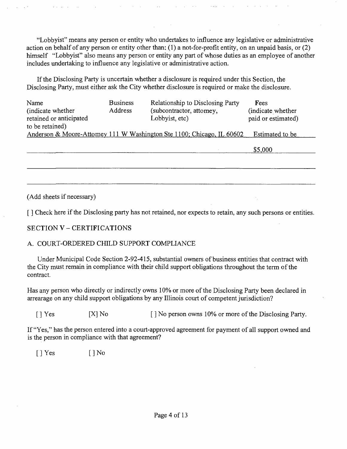"Lobbyist" means any person or entity who undertakes to influence any legislative or administrative action on behalf of any person or entity other than; (1) a not-for-profit entity, on an unpaid basis, or (2) himself "Lobbyist" also means any person or entity any part of whose duties as an employee of another includes undertaking to influence any legislative or administrative action.

If the Disclosing Party is uncertain whether a disclosure is required under this Section, the Disclosing Party, must either ask the City whether disclosure is required or make the disclosure.

| Name<br>(indicate whether)<br>retained or anticipated<br>to be retained) | <b>Business</b><br>Address | Relationship to Disclosing Party<br>(subcontractor, attomey,<br>Lobbyist, etc) | Fees<br>(indicate whether<br>paid or estimated) |
|--------------------------------------------------------------------------|----------------------------|--------------------------------------------------------------------------------|-------------------------------------------------|
|                                                                          |                            | Anderson & Moore-Attomey 111 W Washington Ste 1100; Chicago, IL 60602          | Estimated to be                                 |
|                                                                          |                            |                                                                                | \$5,000                                         |
|                                                                          |                            |                                                                                |                                                 |
|                                                                          |                            |                                                                                |                                                 |

(Add sheets if necessary)

[ J Check here if the Disclosing party has not retained, nor expects to retain, any such persons or entities.

### **SECTION V - CERTIFICATIONS**

### A. COURT-ORDERED CHILD SUPPORT COMPLIANCE

Under Municipal Code Section 2-92-415, substantial owners of business entities that contract with the City must remain in compliance with their child support obligations throughout the term of the contract.

Has any person who directly or indirectly owns 10% or more of the Disclosing Party been declared in arrearage on any child support obligations by any Illinois court of competent jurisdiction?

 $[ ]$  Yes  $[ X ]$  No  $[ ]$  No person owns 10% or more of the Disclosing Party.

If "Yes," has the person entered into a court-approved agreement for payment of all support owned and is the person in compliance with that agreement?

 $[$  | Yes  $[$  | No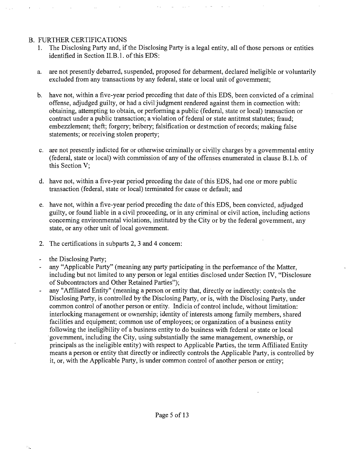### B. FURTHER CERTIFICATIONS

- 1. The Disclosing Party and, if the Disclosing Party is a legal entity, all of those persons or entities identified in Section II.B.l. of this EDS:
- a. are not presently debarred, suspended, proposed for debarment, declared meligible or voluntarily excluded from any transactions by any federal, state or local unit of govemment;
- b. have not, within a five-year period preceding that date of this EDS, been convicted of a criminal offense, adjudged guilty, or had a civil judgment rendered against them in coimection with: obtaining, attempting to obtain, or performing a public (federal, state or local) transaction or contract under a public transaction; a violation of federal or state antitmst statutes; fraud; embezzlement; theft; forgery; bribery; falsification or destmction of records; making false statements; or receiving stolen property;
- c. are not presently indicted for or otherwise criminally or civilly charges by a govemmental entity (federal, state or local) with commission of any of the offenses enumerated in clause B.I.b. of this Section V;
- d. have not, within a five-year period preceding the date of this EDS, had one or more public transaction (federal, state or local) terminated for cause or default; and
- e. have not, within a five-year period preceding the date of this EDS, been convicted, adjudged guilty, or found liable in a civil proceeding, or in any criminal or civil action, including actions conceming environmental violations, instituted by the City or by the federal govemment, any state, or any other unit of local govemment.
- 2. The certifications in subparts 2, 3 and 4 concem:
- the Disclosing Party;
- any "Applicable Party" (meaning any party participating in the performance of the Matter,  $\overline{a}$ including but not limited to any person or legal entities disclosed under Section IV, "Disclosure of Subcontractors and Other Retained Parties");
- any "Affiliated Entity" (meaning a person or entity that, directly or indirectly: controls the Disclosing Party, is controlled by the Disclosing Party, or is, with the Disclosing Party, under common control of another person or entity. Indicia of control include, without limitation: interlocking management or ownership; identity of interests among family members, shared facilities and equipment; common use of employees; or organization of a business entity following the ineligibility of a business entity to do business with federal or state or local govemment, including the City, using substantially the same management, ownership, or principals as the ineligible entity) with respect to Applicable Parties, the term Affiliated Entity means a person or entity that directly or indirectly controls the Applicable Party, is controlled by it, or, with the Applicable Party, is under common control of another person or entity;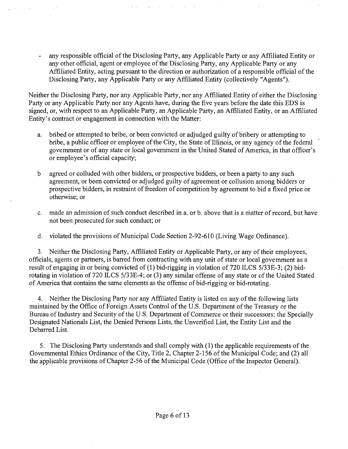any responsible official of the Disclosing Party, any Applicable Party or any Affiliated Entity or any other official, agent or employee of the Disclosing Party, any Applicable Party or any Affiliated Entity, acting pursuant to the direction or authorization of a responsible official of the Disclosing Party, any Applicable Party or any Affiliated Entity (collectively "Agents").

Neither the Disclosing Party, nor any Applicable Party, nor any Affiliated Entity of either the Disclosing Party or any Applicable Party nor any Agents have, during the five years before the date this EDS is signed, or, with respect to an Applicable Party, an Applicable Party, an Affiliated Entity, or an Affiliated Entity's contract or engagement in comection with the Matter:

- a. bribed or attempted to bribe, or been convicted or adjudged guilty of bribery or attempting to bribe, a public officer or employee of the City, the State of Illinois, or any agency of the federal govemment or of any state or local government in the United Stated of America, in that officer's or employee's official capacity;
- b agreed or colluded with other bidders, or prospective bidders, or been a party to any such agreement, or been convicted or adjudged guilty of agreement or collusion among bidders or prospective bidders, in restraint of freedom of competition by agreement to bid a fixed price or otherwise; or
- c. made an admission of such conduct described in a. or b. above that is a matter of record, but have not been prosecuted for such conduct; or
- d. violated the provisions of Municipal Code Section 2-92-610 (Living Wage Ordinance).

3. Neither the Disclosing Party, Affiliated Entity or Applicable Party, or any of their employees, officials, agents or partners, is barred from contracting with any unit of state or local govemment as a result of engaging in or being convicted of (1) bid-rigging in violation of 720 ILCS 5/33E-3; (2) bidrotating in violation of 720 ILCS 5/33E-4; or (3) any similar offense of any state or of the United Stated of America that contains the same elements as the offense of bid-rigging or bid-rotating.

4. Neither the Disclosing Party nor any Affiliated Entity is listed on any of the following lists maintained by the Office of Foreign Assets Control of the U.S. Department of the Treasury or the Bureau of Industry and Security of the U.S. Department of Commerce or their successors: the Specially Designated Nationals List, the Denied Persons Lists, the Unverified List, the Entity List and the Debarred List.

5. The Disclosing Party understands and shall comply with (1) the applicable requirements of the Govemmental Ethics Ordinance of the City, Title 2, Chapter 2-156 of the Municipal Code; and (2) all the applicable provisions of Chapter 2-56 of the Municipal Code (Office of the Inspector General).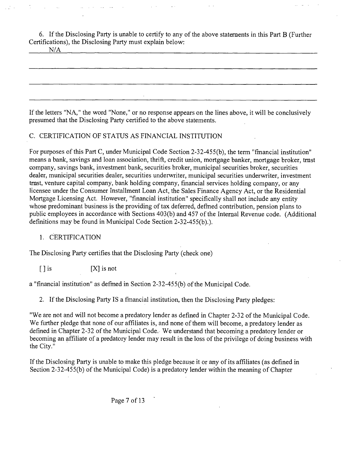6. Ifthe Disclosing Party is unable to certify to any of the above statements in this Part B (Further Certifications), the Disclosing Party must explain below:

If the letters "NA," the word "None," or no response appears on the lines above, it will be conclusively presumed that the Disclosing Party certified to the above statements.

### C. CERTIFICATION OF STATUS AS FINANCIAL INSTITUTION

For purposes ofthis Part C, under Municipal Code Section 2-32-455(b), the term "fmancial institution" means a bank, savings and loan association, thrift, credit union, mortgage banker, mortgage broker, tmst company, savings bank, investment bank, securities broker, municipal securities broker, securities dealer, municipal securities dealer, securities underwriter, municipal securities underwriter, investment tmst, venture capital company, bank holding company, financial services holding company, or any licensee under the Consumer Installment Loan Act, the Sales Finance Agency Act, or the Residential Mortgage Licensing Act. However, "financial institution" specifically shall not include any entity whose predominant business is the providing of tax deferred, defmed contribution, pension plans to public employees in accordance with Sections 403(b) and 457 of the Intemal Revenue code. (Additional definitions may be found in Municipal Code Section 2-32-455(b).).

### 1. CERTIFICATION

The Disclosing Party certifies that the Disclosing Party (check one)

 $[ \ ]$  is  $[ \ ]$  is not

a "financial institution" as defmed in Section 2-32-455(b) of the Municipal Code.

2. If the Disclosing Party IS a fmancial institution, then the Disclosing Party pledges;

"We are not and will not become a predatory lender as defined in Chapter 2-32 of the Municipal Code. We further pledge that none of our affiliates is, and none of them will become, a predatory lender as defined in Chapter 2-32 of the Municipal Code. We understand that becoming a predatory lender or becoming an affiliate of a predatory lender may result in the loss of the privilege of doing business with the City."

If the Disclosing Party is unable to make this pledge because it or any of its affiliates (as defined in Section 2-32-455(b) of the Municipal Code) is a predatory lender within the meaning of Chapter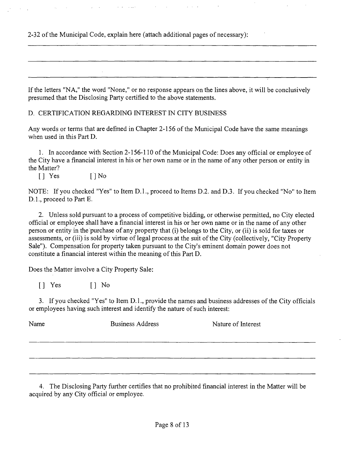2-32 of the Municipal Code, explain here (attach additional pages of necessary):

If the letters "NA," the word "None," or no response appears on the lines above, it will be conclusively presumed that the Disclosing Party certified to the above statements.

D. CERTIFICATION REGARDING INTEREST IN CITY BUSINESS

Any words or terms that are defmed in Chapter 2-156 of the Municipal Code have the same meanings when used in this Part D.

1. In accordance with Section 2-156-110 of the Municipal Code; Does any official or employee of the City have a financial interest in his or her own name or in the name of any other person or entity in the Matter?

[J Yes [JNo

NOTE: If you checked "Yes" to Item D.l., proceed to Items D.2. and D.3. If you checked "No" to Item D. 1., proceed to Part E.

2. Unless sold pursuant to a process of competitive bidding, or otherwise permitted, no City elected official or employee shall have a financial interest in his or her own name or in the name of any other person or entity in the purchase of any property that (i) belongs to the City, or (ii) is sold for taxes or assessments, or (iii) is sold by virtue of legal process at the suit of the City (collectively, "City Property Sale"). Compensation for property taken pursuant to the City's eminent domain power does not constitute a financial interest within the meaning of this Part D.

Does the Matter involve a City Property Sale:

[J Yes [] No

3. Ifyou checked "Yes" to Item D.l., provide the names and business addresses of the City officials or employees having such interest and identify the nature of such interest;

| Name | <b>Business Address</b> | Nature of Interest |
|------|-------------------------|--------------------|
|      |                         |                    |
|      |                         |                    |
|      |                         |                    |

4. The Disclosing Party further certifies that no prohibited financial interest in the Matter will be acquired by any City official or employee.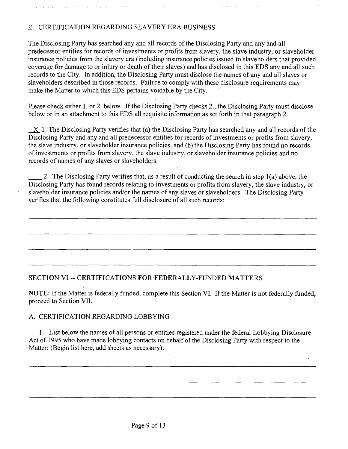## E. CERTIFICATION REGARDING SLAVERY ERA BUSINESS

The Disclosing Party has searched any and all records of the Disclosing Party and any and all predecessor entities for records of investments or profits from slavery, the slave industry, or slaveholder insurance policies from the slavery era (including insurance policies issued to slaveholders that provided coverage for damage to or injury or death of their slaves) and has disclosed in this EDS any and all such records to the City. In addition, the Disclosing Party must disclose the names of any and all slaves or slaveholders described in those records. Failure to comply with these disclosure requirements may make the Matter to which this EDS pertains voidable by the City.

Please check either 1. or 2. below. If the Disclosing Party checks 2., the Disclosing Party must disclose below or in an attachment to this EDS all requisite information as set forth in that paragraph 2.

X 1. The Disclosing Party verifies that (a) the Disclosing Party has searched any and all records of the Disclosing Party and any and all predecessor entities for records of investments or profits from slavery, the slave industry, or slaveholder insurance policies, and (b) the Disclosing Party has found no records of investments or profits from slavery, the slave industry, or slaveholder insurance policies and no records of names of any slaves or slaveholders.

2. The Disclosing Party verifies that, as a result of conducting the search in step 1(a) above, the Disclosing Party has found records relating to investments or profits from slavery, the slave industry, or slaveholder insurance policies and/or the names of any slaves or slaveholders. The Disclosing Party verifies that the following constitutes ftill disclosure of all such records:

### **SECTION VI - CERTIFICATIONS FOR FEDERALLY-FUNDED MATTERS**

NOTE: If the Matter is federally funded, complete this Section VI. If the Matter is not federally funded, proceed to Section VII.

### A. CERTIFICATION REGARDING LOBBYING

1. List below the names of all persons or entities registered under the federal Lobbying Disclosure Act of 1995 who have made lobbying contacts on behalf of the Disclosing Party with respect to the Matter: (Begin list here, add sheets as necessary):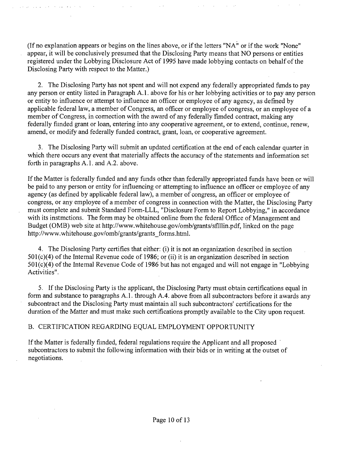(If no explanation appears or begins on the lines above, or if the letters "NA" or if the work "None" appear, it will be conclusively presumed that the Disclosing Party means that NO persons or entities registered under the Lobbying Disclosure Act of 1995 have made lobbying contacts on behalf of the Disclosing Party with respect to the Matter.)

2. The Disclosing Party has not spent and will not expend any federally appropriated fimds to pay any person or entity listed in Paragraph A. 1. above for his or her lobbying activities or to pay any person or entity to influence or attempt to influence an officer or employee of any agency, as defmed by applicable federal law, a member of Congress, an officer or employee of congress, or an employee of a member of Congress, in connection with the award of any federally fimded contract, making any federally fiinded grant or loan, entering into any cooperative agreement, or to extend, continue, renew, amend, or modify and federally funded contract, grant, loan, or cooperative agreement.

3. The Disclosing Party will submit an updated certification at the end of each calendar quarter in which there occurs any event that materially affects the accuracy of the statements and information set forth in paragraphs A.1. and A.2. above.

If the Matter is federally funded and any funds other than federally appropriated funds have been or will be paid to any person or entity for influencing or attempting to influence an officer or employee of any agency (as defined by applicable federal law), a member of congress, an officer or employee of congress, or any employee of a member of congress in connection with the Matter, the Disclosing Party must complete and submit Standard Form-LLL, "Disclosure Form to Report Lobbying," in accordance with its instmctions. The form may be obtained online from the federal Office of Management and Budget (OMB) web site at http://www.whitehouse.gov/omb/grants/sflllin.pdf, linked on the page http://www.whitehouse.gov/omb/grants/grants\_forms.html.

4. The Disclosing Party certifies that either: (i) it is not an organization described in section 501(c)(4) of the Intemal Revenue code of 1986; or (ii) it is an organization described in section 501(c)(4) of the Intemal Revenue Code of 1986 but has not engaged and will not engage in "Lobbying Activities".

5. If the Disclosing Party is the applicant, the Disclosing Party must obtain certifications equal in form and substance to paragraphs A.l . through A.4. above from all subcontractors before it awards any subcontract and the Disclosing Party must maintain all such subcontractors' certifications for the duration of the Matter and must make such certifications promptly available to the City upon request.

### B. CERTIFICATION REGARDING EQUAL EMPLOYMENT OPPORTUNITY

If the Matter is federally fiinded, federal regulations require the Applicant and all proposed subcontractors to submit the following information with their bids or in writing at the outset of negotiations.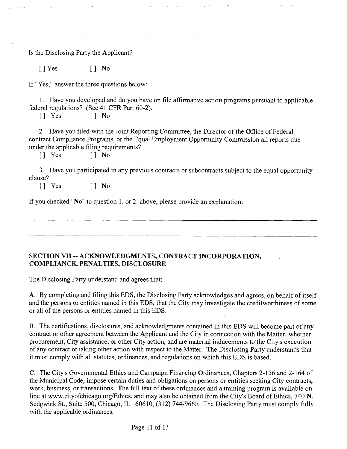Is the Disclosing Party the Applicant?

 $[$  | Yes  $[$  | No

If "Yes," answer the three questions below;

1. Have you developed and do you have on file affirmative action programs pursuant to applicable federal regulations? (See 41 CFR Part 60-2).

 $\begin{bmatrix} \end{bmatrix}$  Yes  $\begin{bmatrix} \end{bmatrix}$  No

2. Have you filed with the Joint Reporting Committee, the Director of the Office of Federal contract Compliance Programs, or the Equal Employment Opportunity Commission all reports due under the applicable filing requirements?

[J Yes [] No

3. Have you participated in any previous contracts or subcontracts subject to the equal opportunity clause?

 $\begin{bmatrix} \end{bmatrix}$  Yes  $\begin{bmatrix} \end{bmatrix}$  No

If you checked "No" to question I. or 2. above, please provide an explanation:

### **SECTION VII ~ ACKNOWLEDGMENTS, CONTRACT INCORPORATION, COMPLIANCE, PENALTIES, DISCLOSURE**

The Disclosing Party understand and agrees that:

A. By completing and filing this EDS, the Disclosing Party acknowledges and agrees, on behalf of itself and the persons or entities named in this EDS, that the City may investigate the creditworthiness of some or all of the persons or entities named in this EDS.

B. The certifications, disclosures, and acknowledgments contained in this EDS will become part of any contract or other agreement between the Applicant and the City in connection with the Matter, whether procurement. City assistance, or other City action, and are material inducements to'the City's execution of any contract or taking other action with respect to the Matter. The Disclosing Party understands that it must comply with all statutes, ordinances, and regulations on which this EDS is based.

C. The City's Govemmental Ethics and Campaign Financing Ordinances, Chapters 2-156 and 2-164 of the Municipal Code, impose certain duties and obligations on persons or entities seeking City contracts, work, business, or transactions. The full text of these ordinances and a training program is available on line at www.cityofchicago.org/Ethics, and may also be obtained from the City's Board of Ethics, 740 N. Sedgwick St., Suite 500, Chicago, IL 60610, (312) 744-9660. The Disclosing Party must comply fully with the applicable ordinances.

Page 11 of 13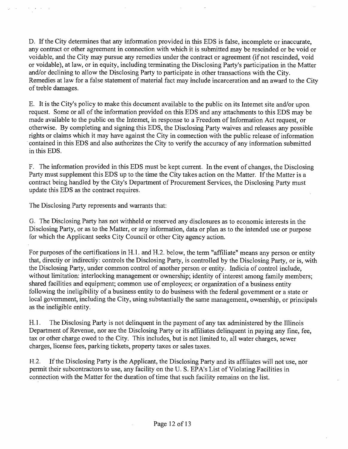D. If the City determines that any information provided in this EDS is false, incomplete or inaccurate, any contract or other agreement in connection with which it is submitted may be rescinded or be void or voidable, and the City may pursue any remedies under the contract or agreement (if not rescinded, void or voidable), at law, or in equity, including terminating the Disclosing Party's participation in the Matter and/or declining to allow the Disclosing Party to participate in other transactions with the City. Remedies at law for a false statement of material fact may mclude incarceration and an award to the City of treble damages.

E. It is the City's policy to make this document available to the public on its Intemet site and/or upon request. Some or all of the information provided on this EDS and any attachments to this EDS may be made available to the public on the Intemet, in response to a Freedom of Information Act request, or otherwise. By completing and signing this EDS, the Disclosing Party waives and releases any possible rights or claims which it may have against the City in coimection with the public release of information contained in this EDS and also authorizes the City to verify the accuracy of any information submitted in this EDS.

F. The information provided in this EDS must be kept current. In the event of changes, the Disclosing Party must supplement this EDS up to the time the City takes action on the Matter. If the Matter is a contract being handled by the City's Department of Procurement Services, the Disclosing Party must update this EDS as the contract requires.

The Disclosing Party represents and warrants that:

G. The Disclosing Party has not withheld or reserved any disclosures as to economic interests in the Disclosing Party, or as to the Matter, or any information, data or plan as to the intended use or purpose for which the Applicant seeks City Council or other City agency action.

For purposes of the certifications in H.1. and H.2. below, the term "affiliate" means any person or entity that, directiy or indirectiy: controls the Disclosing Party, is controlled by the Disclosing Party, or is, with the Disclosing Party, under common control of another person or entity. Indicia of control include, without limitation: interlocking management or ownership; identity of interest among family members; shared facilities and equipment; common use of employees; or organization of a business entity following the ineligibility of a business entity to do busmess with the federal govemment or a state or local govemment, including the City, using substantially the same management, ownership, or principals as the ineligible entity.

H.1. The Disclosing Party is not delinquent in the payment of any tax administered by the Illinois Department of Revenue, nor are the Disclosing Party or its affiliates delinquent in paying any fine, fee, tax or other charge owed to the City. This includes, but is not limited to, all water charges, sewer charges, license fees, parking tickets, property taxes or sales taxes.

H.2. If the Disclosing Party is the Applicant, the Disclosing Party and its affiliates will not use, nor permit their subcontractors to use, any facility on the U. S. EPA's List of Violating Facilities in connection with the Matter for the duration of time that such facility remains on the list.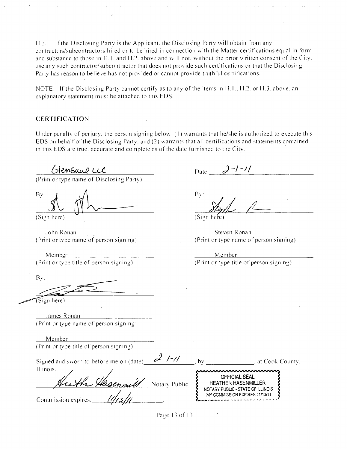H.3. If the Disclosing Party is the Applicant, the Disciosing Party will obtain from any contractors/subcontractors hired or lo be hired in connection with the Matter certifications equal in form and substance to those in H.1. and H.2. above and will not, without the prior written consent of the City, use any such contractor/subcontractor lhat does not provide such ceriitications or that the Disclosing Party has reason to believe has not provided or cannot provide truthful certifications.

NOTE: If the Disclosing Party cannot certify as to any of the items in H.I., H.2. or H.3. above, an explanatory statement must be attached to this EDS.

### **CERTIFICATION**

Under penalty of perjury, the person signing below: (1) warrants that he/she is authorized to execute this EDS on behalf of the Disclosing Party, and (2) warrants that all certifications and statements contained in this EDS are true, accurate and complete as of the date furnished to the City.

**CHEMSAUL LCC**<br>(Prim or type name of Disclosing Party)

Bv:

(Sign here)

.lohn Ronan (Print or type name of person signing)

Meinber

(Print or type title of person signing)

Bv:

 $\mathfrak{S}$ ign here)

.lames Ronan (Print or type name of person signing)

Member (Print or type title of person signing)

| Signed and sworn to before me on (date) | , at Cook County,<br>h١                                              |
|-----------------------------------------|----------------------------------------------------------------------|
| Illinois.<br>Hasenmelt<br>Notary Public | wwwwwwww<br>OFFICIAL SEAL<br><b>HEATHER HASENMILLER</b>              |
| Commission expires:                     | NOTARY PUBLIC - STATE OF ILLINOIS<br>MY COMMISSION EXPIRES: 11/13/11 |

Date:  $2-1-11$ 

Bv:

(Sign here)

Sieven Ronan (Print or type name of person signing)

Meniber (Print or type title of person signing)

Page 13 of 13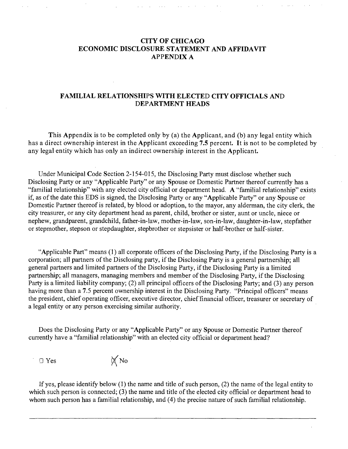### **CITY OF CHICAGO ECONOMIC DISCLOSURE STATEMENT AND AFFIDAVIT APPENDIX A**

### **FAMILIAL RELATIONSHIPS WITH ELECTED CITY OFFICIALS AND DEPARTMENT HEADS**

**This Appendix is to be completed only by (a) the Applicant, and (b) any legal entity which has a direct ownership interest in the Applicant exceeding 7.5 percent. It is not to be completed by any legal entity which has only an indirect ownership interest in the Applicant.** 

Under Municipal Code Section 2-154-015, the Disclosing Party must disclose whether such Disclosing Party or any "Applicable Party" or any Spouse or Domestic Partner thereof currently has a "familial relationship" with any elected city official or department head. A "familial relationship" exists if, as of the date this EDS is signed, the Disclosing Party or any "Applicable Party" or any Spouse or Domestic Partner thereof is related, by blood or adoption, to the mayor, any alderman, the city clerk, the city treasurer, or any city department head as parent, child, brother or sister, aunt or uncle, niece or nephew, grandparent, grandchild, father-in-law, mother-in-law, son-in-law, daughter-in-law, stepfather or stepmother, stepson or stepdaughter, stepbrother or stepsister or half-brother or half-sister.

"Applicable Part" means (1) all corporate officers of the Disclosing Party, if the Disclosing Party is a corporation; all partners of the Disclosing party, if the Disclosing Party is a general partnership; all general partners and limited partners of the Disclosing Party, if the Disclosing Party is a limited partnership; all managers, managing members and member of the Disclosing Party, if the Disclosing Party is a limited liability company; (2) all principal officers of the Disclosing Party; and (3) any person having more than a 7.5 percent ownership interest in the Disclosing Party. "Principal officers" means the president, chief operating officer, executive director, chief financial officer, treasurer or secretary of a legal entity or any person exercising similar authority.

Does the Disclosing Party or any "Applicable Party" or any Spouse or Domestic Partner thereof currently have a "familial relationship" with an elected city official or department head?

 $\Box$  Yes  $\cancel{\text{N}}$  No

If yes, please identify below (1) the name and title of such person, (2) the name of the legal entity to which such person is connected;  $(3)$  the name and title of the elected city official or department head to whom such person has a familial relationship, and (4) the precise nature of such familial relationship.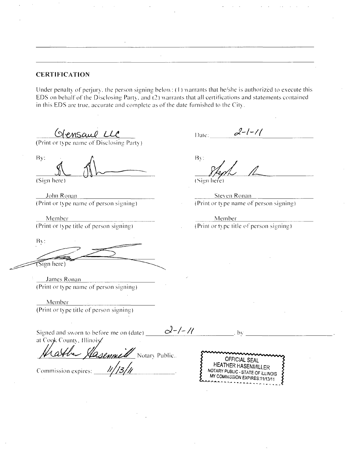### **CERTIFICATION**

Under penalty of perjury, the person signing below:  $(1)$  warrants that he/she is authorized to execute this EDS on behalf of the Disclosing Party, and (2) warrants that all certifications and statements contained in this EDS are true, accurate and complete as of the date furnished to the  $C_{i}$ ity.

(Print or type name of Disclosing Party)

(Print or type name of Disclosing Party

By: Sign here)

John Ronan (Print or type name of person signing)

Member (Print or type title of person signing)

Bv: (Sign here)

James Ronan (Print or type name of person signing)

Member (Print or type title of person signing)

Signed and sworn to before me on (date)  $\equiv$ at Cook County, Illinois

*Commission expires: \_\_\_ ///3/// Lasennell* Notary Public.

 $2-1-11$ Date:

Bv

(Sign here)

 $\alpha$ -/-//  $\alpha$  . by

Slevcn Ronan (Print or type name of person signing)

Member (Print or type title of person signing).

OFFICIAL SEAL HEATHER HASENMILLER<br>NOTARY PUBLIC - STATE OF ILLINOIS MY COMMISSION EXPIRES:11/13/11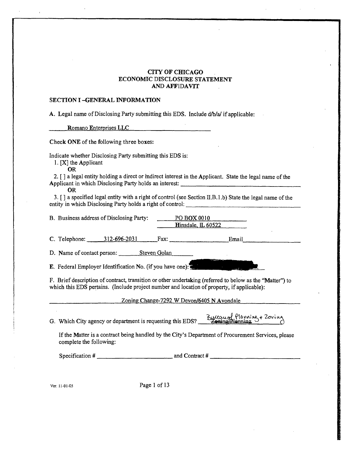#### **a T Y OF CHICAGO ECONOMIC DISCLOSURE STATEMENT AND AFFIDAVIT**  $\mathcal{L}_{\mathcal{A}}$

### **SECTION I -GENERAL INFORMATION**

 $\mathbf{r}$ 

| A. Legal name of Disclosing Party submitting this EDS. Include d/b/a/ if applicable:                                                                                                                                                                                                              |  |  |
|---------------------------------------------------------------------------------------------------------------------------------------------------------------------------------------------------------------------------------------------------------------------------------------------------|--|--|
| Romano Enterprises LLC                                                                                                                                                                                                                                                                            |  |  |
| Check ONE of the following three boxes:                                                                                                                                                                                                                                                           |  |  |
| Indicate whether Disclosing Party submitting this EDS is:<br>1. $[X]$ the Applicant<br><b>OR</b><br>2. [] a legal entity holding a direct or indirect interest in the Applicant. State the legal name of the<br>Applicant in which Disclosing Party holds an interest: __________________________ |  |  |
| <b>OR</b><br>3. [] a specified legal entity with a right of control (see Section II.B.1.b) State the legal name of the                                                                                                                                                                            |  |  |
| B. Business address of Disclosing Party:<br>$PO$ BOX 0010<br>$\blacksquare$ Hinsdale, $\blacksquare$ 60522                                                                                                                                                                                        |  |  |
| C. Telephone: $312-696-2031$ Fax: Fax: Email                                                                                                                                                                                                                                                      |  |  |
| D. Name of contact person: Steven Golan                                                                                                                                                                                                                                                           |  |  |
| E. Federal Employer Identification No. (if you have one):                                                                                                                                                                                                                                         |  |  |
| F. Brief description of contract, transition or other undertaking (referred to below as the "Matter") to<br>which this EDS pertains. (Include project number and location of property, if applicable):                                                                                            |  |  |
| Zoning Change-7292 W Devon/6405 N Avondale                                                                                                                                                                                                                                                        |  |  |
| Bureau of Planning + Zoning<br>G. Which City agency or department is requesting this EDS?                                                                                                                                                                                                         |  |  |
| If the Matter is a contract being handled by the City's Department of Procurement Services, please<br>complete the following:                                                                                                                                                                     |  |  |
|                                                                                                                                                                                                                                                                                                   |  |  |
|                                                                                                                                                                                                                                                                                                   |  |  |
| Page 1 of 13<br>Ver. 11-01-05                                                                                                                                                                                                                                                                     |  |  |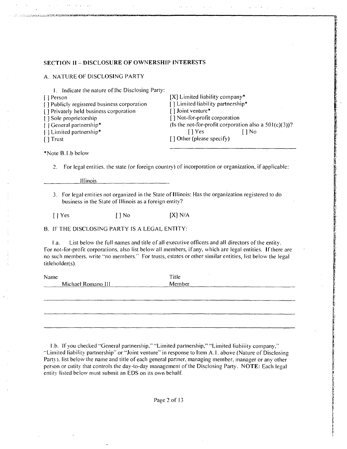#### **SECTION II - DISCLOSURE OF OWNERSHIP INTERESTS**

|  |  |  |  | A. NATURE OF DISCLOSING PARTY |
|--|--|--|--|-------------------------------|
|--|--|--|--|-------------------------------|

| Indicate the nature of the Disclosing Party: |                                                          |
|----------------------------------------------|----------------------------------------------------------|
| [ ] Person                                   | $[X]$ Limited liability company*                         |
| [] Publicly registered business corporation  | [] Limited liability partnership*                        |
| [] Privately held business corporation       | [] Joint venture*                                        |
| Sole proprietorship                          | [] Not-for-profit corporation                            |
| General partnership*                         | (Is the not-for-profit corporation also a $501(c)(3)$ )? |
| Limited partnership*                         | <sup>1</sup> Yes<br>I I No                               |
| [ ] Trust                                    | $\lceil$ Other (please specify)                          |
|                                              |                                                          |

\*Note B.I.b below

2. For legal entities, the slate (or foreign country) of incorporation or organization, if applicable:

linois

3. For legal entities not organized in the State of Illinois: Has the organization registered lo do business in the State of Illinois as a foreign eniity?

 $[$  | Yes  $[$  | No  $[$   $]$  N/A

B. IF THE DISCLOSING PARTY IS A LEGAL ENTITY:

I .a. List below the full names and title ofall execulive officers and all directors of the entity. For not-lor-profit corporations, also list below all members, if any, which are legal entities. If there are no such members, write "no members." For trusts, estates or olher similar entities, list below the legal titleholder(s).

| <b>Name</b> | Michael Romano III | Title<br>Member |  |
|-------------|--------------------|-----------------|--|
|             |                    |                 |  |
|             |                    |                 |  |

1 .b. If you checked "General partnership," "Limiled partnership," "Limiled liabiiily company," "Limited liability partnership" or "Joint venture" in response to Item A.l. above (Nature of Disclosing Party). list below the name and title of each general partner, managing member, manager or any other person or cutity that controls the day-to-day management of the Disclosing Party. NOTE: Each legal entity listed below must submit an EDS on its own behalf.

Page 2 of 13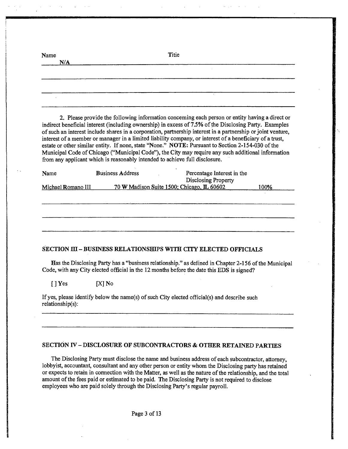| Name<br>N/A        | Titie                                                                                                                                                                                                                                                                                                                                                                                                                                                                                                                                                                                                                                                                                                                           |
|--------------------|---------------------------------------------------------------------------------------------------------------------------------------------------------------------------------------------------------------------------------------------------------------------------------------------------------------------------------------------------------------------------------------------------------------------------------------------------------------------------------------------------------------------------------------------------------------------------------------------------------------------------------------------------------------------------------------------------------------------------------|
|                    |                                                                                                                                                                                                                                                                                                                                                                                                                                                                                                                                                                                                                                                                                                                                 |
|                    |                                                                                                                                                                                                                                                                                                                                                                                                                                                                                                                                                                                                                                                                                                                                 |
|                    |                                                                                                                                                                                                                                                                                                                                                                                                                                                                                                                                                                                                                                                                                                                                 |
|                    |                                                                                                                                                                                                                                                                                                                                                                                                                                                                                                                                                                                                                                                                                                                                 |
|                    | 2. Please provide the following information concerning each person or entity having a direct or<br>indirect beneficial interest (including ownership) in excess of 7.5% of the Disclosing Party. Examples<br>of such an interest include shares in a corporation, partnership interest in a partnership or joint venture,<br>interest of a member or manager in a limited liability company, or interest of a beneficiary of a trust,<br>estate or other similar entity. If none, state "None." NOTE: Pursuant to Section 2-154-030 of the<br>Municipal Code of Chicago ("Municipal Code"), the City may require any such additional information<br>from any applicant which is reasonably intended to achieve full disclosure. |
| Name               | <b>Business Address</b><br>Percentage Interest in the<br><b>Disclosing Property</b>                                                                                                                                                                                                                                                                                                                                                                                                                                                                                                                                                                                                                                             |
| Michael Romano III | 70 W Madison Suite 1500; Chicago, IL 60602<br>100%                                                                                                                                                                                                                                                                                                                                                                                                                                                                                                                                                                                                                                                                              |
|                    |                                                                                                                                                                                                                                                                                                                                                                                                                                                                                                                                                                                                                                                                                                                                 |
|                    |                                                                                                                                                                                                                                                                                                                                                                                                                                                                                                                                                                                                                                                                                                                                 |
|                    |                                                                                                                                                                                                                                                                                                                                                                                                                                                                                                                                                                                                                                                                                                                                 |
|                    |                                                                                                                                                                                                                                                                                                                                                                                                                                                                                                                                                                                                                                                                                                                                 |
|                    | SECTION III - BUSINESS RELATIONSHIPS WITH CITY ELECTED OFFICIALS                                                                                                                                                                                                                                                                                                                                                                                                                                                                                                                                                                                                                                                                |
|                    | Has the Disclosing Party has a "business relationship." as defined in Chapter 2-156 of the Municipal<br>Code, with any City elected official in the 12 months before the date this EDS is signed?                                                                                                                                                                                                                                                                                                                                                                                                                                                                                                                               |
| I l Yes            | [X] No                                                                                                                                                                                                                                                                                                                                                                                                                                                                                                                                                                                                                                                                                                                          |

If yes, please identify below the name(s) of such City elected official(s) and describe such relationship(s):

#### **SECTION TV - DISCLOSURE OF SUBCONTRACTORS & OTHER RETAINED PARTIES**

The Disclosing Party must disclose the name and business address of each subcontractor, attorney, lobbyist, accountant, consultant and any other person or entity whom the Disclosing party has retained or expects to retam in cormection with the Matter, as well as the nature of the relationship, and the total amount of the fees paid or estimated to be paid. The Disclosing Party is not required to disclose employees who are paid solely through the Disclosing Party's regular payroll.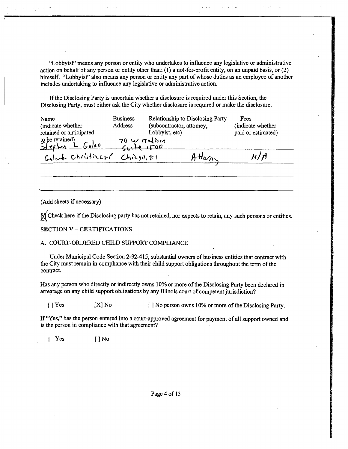"Lobbyist" means any person or entity who undertakes to influence any legislative or administrative action on behalf of any person or entity other than: (1) a not-for-profit entity, on an unpaid basis, or (2) himself. "Lobbyisf' also means any person or entity any part of whose duties as an employee of another includes undertakmg to influence any legislative or admmistrative action.

If the Disclosing Party is uncertain whether a disclosure is required under this Section, the Disclosing Party, must either ask the City whether disclosure is required or make the disclosure.

| Name<br>(indicate whether<br>retained or anticipated<br>to be retained)<br>Stephen L Golan | <b>Business</b><br>Address<br>70 w radium | (subcontractor, attomey,<br>Lobbyist, etc) | Relationship to Disclosing Party | Fees<br>(indicate whether<br>paid or estimated) |
|--------------------------------------------------------------------------------------------|-------------------------------------------|--------------------------------------------|----------------------------------|-------------------------------------------------|
| Goloch Christiant Chicquist                                                                |                                           |                                            | $H_{3/2}$                        | N / A                                           |

(Add sheets if necessary)

'^Check here if the Disclosing party has not retained, nor expects to retain, any such persons or entities.

#### SECTION V - CERTIFICATIONS

#### A. COURT-ORDERED CHILD SUPPORT COMPLIANCE

Under Municipal Code Section 2-92-415, substantial owners of business entities that contract with the City must remain in comphance with their child support obligations throughout the term of the contract.

Has any person who directly or indirectly owns 10% or more of the Disclosing Party been declared in arrearage on any child support obligations by any Illinois court of competent jurisdiction?

[ ] Yes [X] No [ ] No person owns 10% or more of the Disclosing Party.

If "Yes," has the person entered into a court-approved agreement for payment of all support owned and is the person in compliance with that agreement?

[JYes [JNo

Page 4 of 13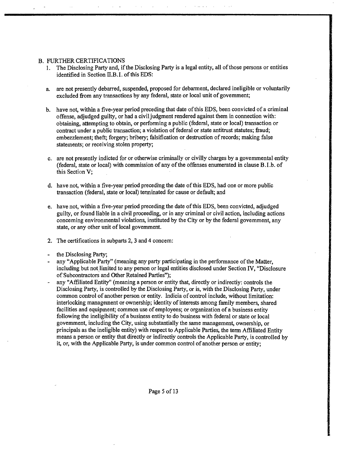#### B. FURTHER CERTIFICATIONS

- 1. The Disclosing Party and, if the Disclosing Party is a legal entity, all of those persons or entities identified in Section II.B.I. of this EDS:
- a. are not presently debarred, suspended, proposed for debarment, declared ineligible or voluntarily excluded from any transactions by any federal, state or local unit of govemment;
- b. have not, within a five-year period preceding that date of this EDS, been convicted of a criminal offense, adjudged guilty, or had a civil judgment rendered against them in connection with: obtainmg, attempting to obtain, or performing a public (federal, state or local) transaction or contract under a public transaction; a violation of federal or state antitrust statutes; fraud; embezzlement; theft; forgery; bribery; falsification or destruction of records; making false statements; or receiving stolen property;
- c. are not presently indicted for or otherwise crimmally or civilly charges by a govemmental entity (federal, state or local) with commission of any of the offenses enumerated in clause B.I.b. of this Section V;
- d. have not, within a five-year period precedmg the date of this EDS, had one or more public transaction (federal, state or local) terminated for cause or default; and
- e. have not, within a five-year period preceding the date of this EDS, been convicted, adjudged guilty, or found liable in a civil proceeding, or in any criminal or civil action, includmg actions conceming environmental violations, instituted by the City or by the federal govemment, any state, or any other unit of local govemment.
- 2. The certifications in subparts 2, 3 and 4 concem:
- the Disclosing Party;
- any "Applicable Party" (meaning any party participating in the performance of the Matter, including but not limited to any person or legal entities disclosed under Section IV, "Disclosure" of Subcontractors and Other Retained Parties");
- any "Affiliated Entity" (meaning a person or entity that, directly or indirectiy: controls the Disclosing Party, is controlled by the Disclosing Party, or is, with the Disclosing Party, under common control of another person or entity. Indicia of control include, without limitation: mterlockmg management or ownership; identity of interests among family members, shared facilities and equipment; common use of employees; or organization of a business entity following the ineligibility of a business entity to do busmess with federal or state or local govemment, including the City, using substantially the same management, ownership, or principals as the ineligible entity) with respect to Applicable Parties, the term Affiliated Entity means a person or entity that directly or indirectiy controls the Applicable Party, is controlled by it, or, with the Applicable Party, is under common control of another person or entity;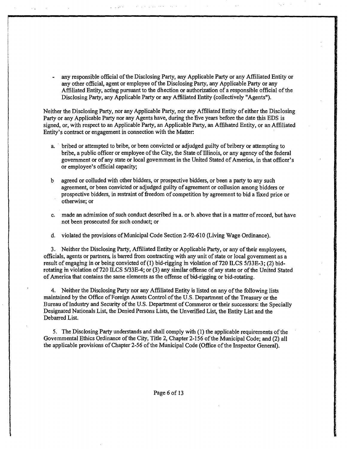- any responsible official of the Disclosing Party, any Applicable Party or any Affiliated Entity or any other official, agent or employee of the Disclosing Party, any Applicable Party or any Affiliated Entity, acting pursuant to the dhection or authorization of a responsible official of the Disclosing Party, any Applicable Party or any Affiliated Entity (collectively "Agents").

Neither the Disclosing Party, nor any Applicable Party, nor any AfBliated Entity of either the Disclosing Party or any Applicable Party nor any Agents have, during the five years before the date this EDS is signed, or, with respect to an Applicable Party, an Applicable Party, an Affihated Entity, or an Affiliated Entity's contract or engagement in connection with the Matter:

- a. " bribed or attempted to bribe, or been convicted or adjudged guilty of bribery or attempting to bribe, a public officer or employee ofthe City, the State of Illinois, or any agency ofthe federal government or of any state or local govemment in the United Stated of America, in that officer's or employee's official capacity;
- b agreed or colluded with other bidders, or prospective bidders, or been a party to any such agreement, or been convicted or adjudged guilty of agreement or collusion among bidders or prospective bidders, in restraint of freedom of competition by agreement to bid a fixed price or otherwise; or
- c. made an admission of such conduct described m a. or b. above that is a matter of record, but have not been prosecuted for such conduct; or

d. violated the provisions of Municipal Code Section 2-92-610 (Living Wage Ordinance).

3. Neither the Disclosing Party, Affiliated Entity or Applicable Party, or any of their employees, officials, agents or partners, is barred from contracting with any unit of state or local government as a result of engagmg in or being convicted of (1) bid-rigging m violation of 720 ILCS 5/33E-3; (2) bidrotating m violation of 720 ILCS 5/33E-4; or (3) any similar offense ofany state or ofthe United Stated of America that contains the same elements as the offense of bid-rigging or bid-rotating.

4. Neither the Disclosing Party nor any Affiliated Entity is listed on any of the following lists maintained by the Office of Foreign Assets Control of the U.S. Department of the Treasury or the Bureau of Industry and Security of the U.S. Department of Commerce or their successors: the Specially Designated Nationals List, the Denied Persons Lists, the Unverified List, the Entity List and the Debarred List.

5. The Disclosing Party understands and shall comply with (1) the applicable requirements ofthe Govemmental Ethics Ordinance of the City, Title 2, Chapter 2-156 of the Municipal Code; and (2) all the applicable provisions of Chapter 2-56 of the Municipal Code (Office of the Inspector General).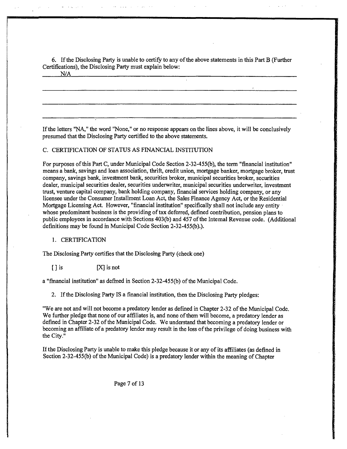6. Ifthe Disclosmg Party is unable to certify to any of the above statements in this Part B (Further Certifications), the Disclosing Party must explain below:

If the letters "NA" the word "None," or no response appears on the lines above, it will be conclusively presumed that the Disclosing Party certified to the above statements.

#### C. CERTIFICATION OF STATUS AS FINANCIAL INSTITUTION

For purposes of this Part C, under Municipal Code Section 2-32-455(b), the term "financial institution" means a bank, savings and loan association, thrift, credit union, mortgage banker, mortgage broker, trust company, savings bank, investment bank, securities broker, municipal securities broker, securities dealer, municipal securities dealer, securities underwriter, municipal securities underwriter, investment trust, venture capital company, bank holding company, financial services holding company, or any licensee under the Consumer Installment Loan Act, the Sales Finance Agency Act, or the Residential Mortgage Licensing Act. However, "financial institution" specifically shall not include any entity whose predominant business is the providing of tax deferred, defined confribution, pension plans to public employees in accordance with Sections 403(b) and 457 ofthe Intemal Revenue code. (Additional definitions may be found m Municipal Code Section 2-32-455(b).).

#### 1. CERTIFICATION

The Disclosing Party certifies that the Disclosmg Party (check one)

 $[ ]$  is  $[ X ]$  is not

a "financial institution" as defined in Section 2-32-455(b) of the Municipal Code.

2. If the Disclosing Party IS a financial institution, then the Disclosmg Party pledges:

"We are not and will not become a predatory lender as defined in Chapter 2-32 of the Municipal Code. We further pledge that none of our affiliates is, and none of them will become, a predatory lender as defined in Chapter 2-32 of the Municipal Code. We understand that becoming a predatory lender or becoming an affiliate of a predatory lender may result in the loss of the privilege of doing business with the City."

If the Disclosing Party is unable to make this pledge because it or any of its affiliates (as defined in Section 2-32-455(b) of the Municipal Code) is a predatory lender within the meaning of Chapter

Page 7 of 13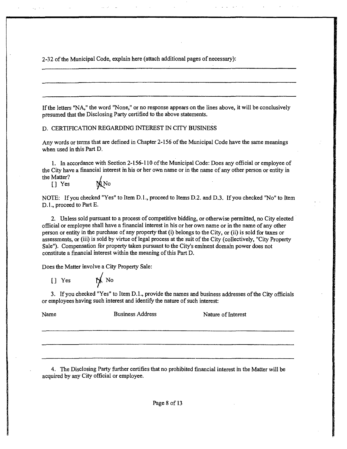2-32 of the Municipal Code, explain here (attach additional pages of necessary):

If the letters "NA," the word "None," or no response appears on the lines above, it will be conclusively presumed that the Disclosing Party certified to the above statements.

D. CERTIFICATION REGARDING INTEREST IN CITY BUSINESS

Any words or terms that are defined in Chapter 2-156 of the Municipal Code have the same meanings when used in this Part D.

1. In accordance with Section 2-156-110 ofthe Municipal Code: Does any official or employee of the City have a fmancial interest m his or her own name or in the name of any other person or entity in the Matter?

[] Yes

NOTE: If you checked "Yes" to Item D.1., proceed to Items D.2. and D.3. If you checked "No" to Item D.1., proceed to Part E.

2. Unless sold pursuant to a process of competitive bidding, or otherwise permitted, no City elected official or employee shaU have a financial interest in his or her own name or in the name of any other person or entity in the purchase of any property that (i) belongs to the City, or (ii) is sold for taxes or assessments, or (iii) is sold by virtue of legal process at the suit of the City (collectively, "City Property Sale"). Compensation for property taken pursuant to the City's emment domam power does not constitute a financial interest within the meaning of this Part D.

Does the Matter involve a City Property Sale:

 $[]$  Yes  $\mathbb{N}$  No

3. If you checked "Yes" to Item D.L, provide the names and business addresses of the City officials or employees having such interest and identify the nature of such interest:

Name Business Address Nature of Interest

4. The Disclosing Party further certifies that no prohibited financial interest m the Matter will be acquired by any City official or employee.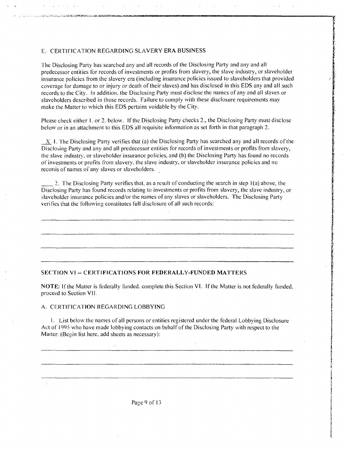#### E. CERTIFICATION REGARDING SLAVERY ERA BUSINESS

The compact of the company of the company was assigned to assign the

The Disclosing Party has searched any and all records of the Disclosing Party and any and all predecessor entities for records of investments or profits from slavery, the slave industry, or slaveholder insurance policies from the slavery era (including insurance policies issued lo slaveholders thai provided coverage for damage to or injury or death of their slaves) and has disclosed in this EDS any and all such records to the City. In addition, the Disclosing Party must disclose the names of any and all slaves or slaveholders described in those records. Failure to comply with these disclosure requirements may make the Matter to which this EDS periains voidable by the City.

Please check either 1. or 2. below. If the Disclosing Party checks 2., the Disclosing Party must disclose below or in an attachment to this EDS all requisite information as set forth in that paragraph 2.

 $\pm X$  I. The Disclosing Party verifies that (a) the Disclosing Party has searched any and all records of the Disclosing Party and any and all predecessor entities for records of investments or profits from slavery, the slave industry, or slaveholder insurance policies, and (b) the Disclosing Party has found no records of investments or profits from slavery, the slave industry, or slaveholder insurance policies and no recortis of names of any slaves or slaveholders.

2. The Disclosing Party verifies thai, as a result of conducting the search in step 1(a) above, the Diselosing Party has found records relating to investments or profits from slavery, the slave industry, or slaveholder insurance policies and/or the names ofany slaves or slaveholders. The Disclosing Party verifies that the following constitutes full disclosure of all such records:

#### **SECTION VI - CERTIFICATIONS FOR FEDERALLY-FUNDED MATTERS**

NOTE: If the Matter is federally funded, complete this Section VI. If the Matter is not federally funded, proceed to Section Vll.

#### A. CERTIFICATION REGARDING LOBBYING

1. List below the names of all persons or enlilies regislered under the federal Lobbying Disclosure .Aet of 1995 who have made lobbying contacts on behalf of the Disclosing Party wilh respect to the Maiter: (Begin list here, add sheets as necessary):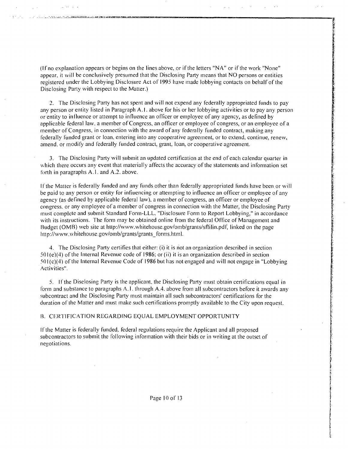(Ifno explanation appears or begins on the lines above, or ifthe letters "NA" or if the work "None" appear, it will be conclusively presumed that the Disclosing Party means that NO persons or entities registered under the Lobbying Disclosure Act of 1995 have made lobbying contacts on behalf of the Disclosing Party with respect to the Matter.)

2. The Disclosing Party has not spent and will not expend any federally appropriated funds to pay any person or eniity listed in Paragraph A. I. above for his or her lobbying activities or lo pay any person or entity to influence or attempt to influence an officer or employee of any agency, as defined by applicable federal law. a member ofCongrcss, an officer or employee of congress, or an employee of a member of Congress, in connection with the award of any federally funded contract, making any federally funded grant or loan, entering into any cooperative agreement, or lo extend, continue, renew, amend, or modify and federally funded contraci, grant, loan, or cooperative agreement.

3. The Disclosing Party will submit an updated certification at the end of each calendar quarter in which there occurs any event that materially affects the accuracy of the statements and information set forth in paragraphs  $A.1$ . and  $A.2$ . above.

Ifthe Matier is federally funded and any funds other than federally appropriated funds have been or will be paid to any person or entity for infiuencing or attempting to influence an officer or employee of any agency (as defined by applicable federal law), a member of congress, an officer or employee of congress, or any employee of a member of congress in connection with the Matter, the Disclosing Party must complcle and submit Standard Form-LLL, "Disclosure Form to Report Lobbying," in accordance with its instructions. The form may be obtained online from the federal Office of Management and Budget (OMB) web site at http://www.whitehouse.gov/omb/grants/sflilin.pdf, linked on the page http://www.whitehouse.gov/omb/grants/grants\_forms.html.

4. The Disclosing Party certifies that either: (i) it is not an organization described in seciion  $501(e)(4)$  of the Internal Revenue code of 1986; or (ii) it is an organization described in section .501 (c)(4) of the Inlernal Revenue Code of 1986 but has nol engaged and will nol engage in "Lobbying Activities".

5. Ifthe Diselosing Party is the applicant, the Disclosing Party must obtain certifications equal in form and substance to paragraphs A.1. through A.4. above from all subcontractors before it awards any subcontract and the Disclosing Party must maintain all such subcontractors' certifications for the duration of the Matter and must make such certifications promptly available to the City upon request.

#### B. CERTIFICATION REGARDING EQUAL EMPLOYMENT OPPORTUNITY

Ifthe Matter is federally funded, federal regulations require the Applicant and all proposed subcontractors to submit the following information with their bids or in writing at the outset of negotiations.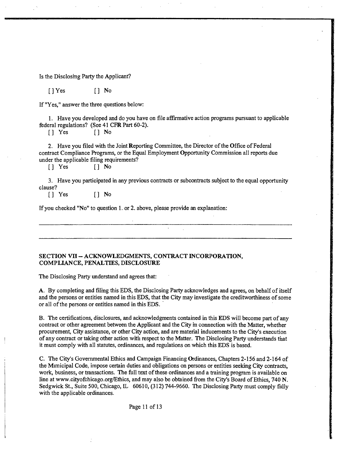Is the Disclosmg Parfy the Applicant?

[JYes [J No

If "Yes," answer the three questions below:

1. Have you developed and do you have on file affirmative action programs pursuant to applicable federal regulations? (See 41 CFR Part 60-2).

[J Yes [J No

2. Have you filed with the Joint Reporting Committee, the Director of the Office of Federal contract Compliance Programs, or the Equal Employment Opportunity Commission all reports due under the applicable filing requirements?

[J Yes [J No

3. Have you participated in any previous contracts or subcontracts subject to the equal opportunity clause?

[J Yes [J No

If you checked "No" to question 1. or 2. above, please provide an explanation:

#### SECTION VII - ACKNOWLEDGMENTS, CONTRACT INCORPORATION, **COMPLIANCE, PENALTIES, DISCLOSURE**

The Disclosing Party understand and agrees that:

A. By completing and filmg this EDS, the Disclosing Party acknowledges and agrees, on behalf of itself and the persons or entities named in this EDS, that the City may investigate the creditworthiness of some or all of the persons or entities named in this EDS.

B. The certifications, disclosures, and acknowledgments contained in this EDS will become part of any contract or other agreement between the Applicant and the City in connection with the Matter, whether procurement. City assistance, or other City action, and are material inducements to the City's execution of any contract or taking other action witii respect to the Matter. The Disclosing Party understands tiiat it must comply with all statutes, ordinances, and regulations on which this EDS is based.

C. The City's Govemmental Ethics and Campaign Financing Ordinances, Chapters 2-156 and 2-164 of the Mimicipal Code, impose certain duties and obligations on persons or entities seeking City contracts, work, business, or transactions. The full text of these ordinances and a training program is available on line at www.cityofchicago.org/Ethics, and may also be obtained from the City's Board of Ethics, 740 N. Sedgwick St., Suite 500, Chicago, IL 60610, (312) 744-9660. The Disclosing Party must comply fiilly with the applicable ordinances.

Page 11 of 13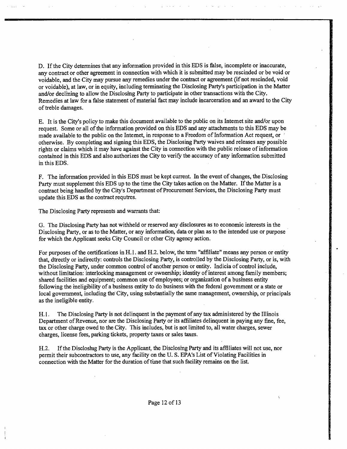D. If the City determines that any information provided in this EDS is false, incomplete or inaccurate, any contract or other agreement in connection with which it is submitted may be rescinded or be void or voidable, and the City may pursue any remedies under the confract or agreement (if not rescinded, void or voidable), at law, or in equity, including terminating the Disclosing Party's participation in the Matter and/or declining to allow the Disclosing Party to participate in other transactions with the City. Remedies at law for a false statement of material fact may include incarceration and an award to the City of freble damages.

E. It is the City's policy to make this document available to the public on its Intemet site and/or upon request. Some or all of the information provided on this EDS and any attachments to this EDS may be made available to the public on the Intemet, in response to a Freedom of Information Act request, or otherwise. By completing and signing this EDS, the Disclosing Party waives and releases any possible rights or claims which it may have against the City in cormection with the public release of information contamed in this EDS and also authorizes the City to verify the accuracy of any information submitted m this EDS.

F. The information provided m this EDS must be kept current. In the event of changes, the Disclosing Party must supplement this EDS up to the time the City takes action on the Matter. If the Matter is a contract being handled by the City's Department of Procurement Services, the Disclosing Party must update this EDS as the confract requfres.

The Disclosing Party represents and warrants that:

G. The Disclosing Party has not withheld or reserved any disclosures as to economic interests in the Disclosmg Party, or as to the Matter, or any information, data or plan as to the mtended use or purpose for which the Applicant seeks City Council or other City agency action.

For purposes of the certifications in H.l. and H.2. below, the term "affiliate" means any person or entity that, dfrectly or indirectly: confrols the Disclosing Party, is confrolled by the Disclosing Party, or is, with the Disclosing Party, under common confrol of another person or entity. Indicia of confrol include, without limitation: interlocking management or ownership; identity of interest among family members; shared facilities and equipment; common use of employees; or organization of a busmess entity following the meligibility of a busmess entity to do business with the federal govemment or a state or local government, including the City, using substantially the same management, ownership, or principals as the ineligible entity.

H. l. The Disclosing Party is not delinquent in the payment of any tax administered by the Illinois Department of Revenue, nor are the Disclosing Party or its affiliates delinquent in paying any fine, fee, tax or other charge owed to the City. This includes, but is not limited to, all water charges, sewer charges, license fees, parking tickets, property taxes or sales taxes.

H.2. If the Discloshig Party is the Applicant, the Disclosmg Party and its affiliates will not use, nor permit their subcontractors to use, any facility on the U. S. EPA's List of Violating Facilities in connection with the Matter for the duration of tune that such facility remains on the list.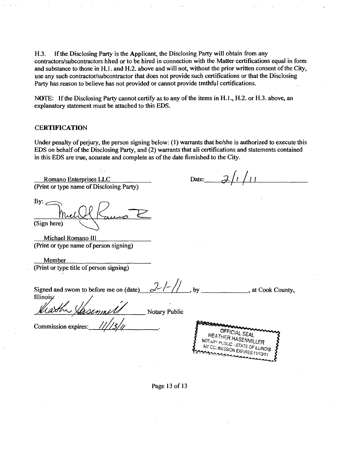H.3. If the Disclosing Party is the Applicant, the Disclosing Party will obtain from any confractors/subcontractors hhed or to be hired in connection with the Matter certifications equal in form and substance to those in H.l. and H.2. above and will not, without the prior written consent of the City, use any such confractor/subcontractor that does not provide such certifications or that the Disclosing Party has reason to believe has not provided or cannot provide tmthful certifications.

NOTE: If the Disclosing Party cannot certify as to any of the items in H. 1., H.2. or H.3. above, an explanatory statement must be attached to this EDS.

#### **CERTIFICATION**

Under penalty of perjury, the person signing below: (1) warrants that he/she is authorized to execute this EDS on behalf of the Disclosing Party, and (2) warrants that ali certifications and statements contained in this EDS are frue, accurate and complete as of the date fiimished to the City.

Date:  $2/1/11$ Romano Enterprises LLC (Print or type name of Disclosing Party) By:  $\leq$ (Sign here) Michael Romano III (Print or type name of person signing) Member (Print or type title of person signing)  $2/$ by **a**, at Cook County, Signed and swom to before me on (date)\_ Illinois Notary Public Commission expires:. OFFICIAL SEAL **HEATHER HASENMIL**<br>TARY PUSILO 25 ENMIL NOTARY PUSLIC - STATE OF ILLINOIS MIY COMMISSION EXPIRES: 11/13/11

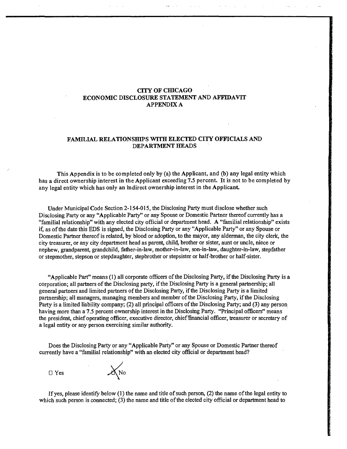#### **CTTY OF CHICAGO ECONOMIC DISCLOSURE STATEMENT AND AFFTOAVIT APPENDIX A**

#### **FAMILIAL RELATIONSHIPS WTTH ELECTED CITY OFFICIALS AND DEPARTMENT ECEADS**

**This Appendix is to be completed only by (a) the Applicant, and (b) any legal entity which has a direct ownership interest in the Applicant exceeduig 7.5 percent. It is not to be completed by any legal entity which has only an mdirect ownership interest in the Applicant** 

Under Municipal Code Section 2-154-015, the Disclosing Party must disclose whether such Disclosing Party or any "Applicable Party" or any Spouse or Domestic Partner thereof currently has a "familial relationship" with any elected city official or department head. A "familial relationship" exists if as of the date this EDS is signed, the Disclosing Party or any "Applicable Party" or any Spouse or Domestic Partner thereof is related, by blood or adoption, to the mayor, any alderman, the city clerk, the city treasurer, or any city department head as parent, child, brother or sister, aunt or uncle, niece or nephew, grandparent, grandchild, father-in-law, mother-in-law, son-in-law, daughter-m-law, stepfather or stepmother, stepson or stepdaughter, stepbrother or stepsister or half-brother or half-sister.

"Applicable Part" means (1) all corporate officers of the Disclosing Party, if the Disclosmg Party is a corporation; all partners of the Disclosing party, if the Disclosing Party is a general partnership; all general partners and limited partners of the Disclosing Party, ifthe Disclosing Party is a limited partnership; all managers, managing members and member of the Disclosing Party, if the Disclosing Party is a limited liability company; (2) all principal officers of the Disclosing Party; and (3) any person having more than a 7.5 percent ownership interest in the Disclosing Party. "Principal officers" means the president, chief operating officer, executive director, chief financial officer, freasurer or secretary of a legal entity or any person exercising similar authority.

Does the Disclosing Party or any "Applicable Party" or any Spouse or Domestic Partner thereof currently have a "familial relationship" with an elected city official or department head?

• Yes

 $X_{\text{No}}$ 

If yes, please identify below (1) the name and title of such person, (2) the name of the legal entity to which such person is connected; (3) the name and title of the elected city official or department head to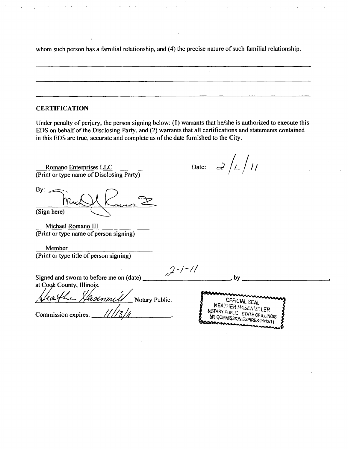whom such person has a familial relationship, and (4) the precise nature of such familial relationship.

### **CERTIFICATION**

Under penalty of perjury, the person signing below: (I) warrants that he/she is authorized to execute this EDS on behalf of the Disclosing Party, and (2) warrants that all certifications and statements contained in this EDS are true, accurate and complete as of the date fumished to the City.

Romano Entemrises LLC (Print or type name of Disclosing Party)

By:  $\geq$ (Sign here)

Michael Romano 111 (Print or type name of person signing)

Member (Print or type title of person signing)

Date:

Signed and swom to before me on (date) at Cogk County, Illinois

*r*  Notary Public.

*Commission expires:* 

 $2 - 1 - 11$ 

OFFICIAL SEAL<br>HEATHER HASENMILLER NOTARY PUBLIC - STATE OF ILLINOIS WE COMMISSION EXPIRES: 11/13/11

 $, by$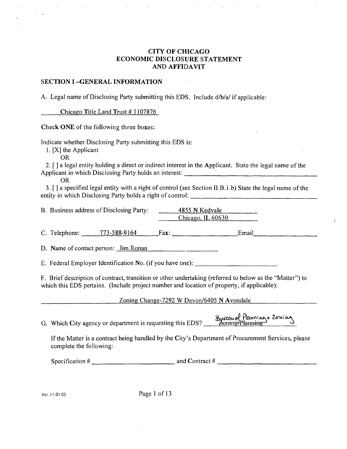### **CITY OF CHICAGO ECONOMIC DISCLOSURE STATEMENT AND AFFIDAVIT**

#### **SECTION I -GENERAL INFORMATION**

A. Legal name of Disclosing Party submitting this EDS. Include d/b/a/ if applicable:

**Chicago Title Land Trust # 1107876** 

Check ONE of the following three boxes:

Indicate whether Disclosing Party submitting this EDS is:

1. [XJ the Applicant

OR

 $\varphi\to 0$ 

2. [ J a legal eniity holding a direct or indirect interest in the Applicant. State the legal name of the Applicant in which Disclosing Party holds an interest:

OR

3. [ J a specified legal entity with a right of control (see Section ll.B.i.b) State the legal name of the entity in which Disclosing Party holds a right of control: <u>controlection</u> and control control of the summary of the summary of the summary of the summary of the summary of the summary of the summary of the summary of the

| B. Business address of Disclosing Party: | 4855 N Kedvale      |
|------------------------------------------|---------------------|
|                                          | Chicago, IL $60630$ |

C. Telephone; 773-588-9164 Fax; Email.

D. Name of contact person: Jim Ronan

E. Federal Employer Identification No. (if you have one):

F. Brief description of contract, transition or other undertaking (referred to below as the "Matter") to which this EDS pertains. (Include project number and location of property, if applicable):

Zoning Change-7292 W Devon/6405 N Avondale

G. Which City agency or department is requesting this EDS? Byseau of Planning+ Zoning

If the Matter is a contract being handled by the City's Department of Procurement Services, please complete the following:

Specification  $\#$  and Contract  $\#$ 

Ver. 11-01-05 Page 1 of 13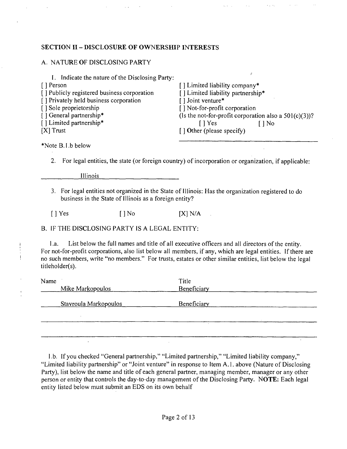### **SECTION II - DISCLOSURE OF OWNERSHIP INTERESTS**

### A. NATURE OF DISCLOSING PARTY

| I. Indicate the nature of the Disclosing Party: |                                                          |
|-------------------------------------------------|----------------------------------------------------------|
| [ ] Person                                      | [] Limited liability company*                            |
| [] Publicly registered business corporation     | [] Limited liability partnership*                        |
| [] Privately held business corporation          | [] Joint venture*                                        |
| [] Sole proprietorship                          | [] Not-for-profit corporation                            |
| [] General partnership*                         | (Is the not-for-profit corporation also a $501(c)(3)$ )? |
| [] Limited partnership*                         | $\lceil \cdot \rceil$ Yes<br>] No                        |
| $[X]$ Trust                                     | [] Other (please specify)                                |
|                                                 |                                                          |

\*Note B.I.b below

 $\overline{\phantom{a}}$ 

2. For legal entities, the state (or foreign country) of incorporation or organization, if applicable:

Illinois

3. For legal entities not organized in the State of Illinois: Has the organization registered to do business in the State of Illinois as a foreign entity?

 $[$  | Yes  $[$  | No  $[$   $X]$  N/A

### B. IF THE DISCLOSING PARTY IS A LEGAL ENTITY:

l.a. List below the full names and title ofall executive officers and all directors of the entity. For not-for-profit corporations, also list below all members, if any, which are legal entities. If there are no such members, write "no members." For trusts, estates or other similar entities, list below the legal titleholder(s).

| Name |                       | Title       |
|------|-----------------------|-------------|
|      | Mike Markopoulos      | Beneficiary |
|      | Stavroula Markopoulos | Beneficiary |
|      |                       |             |
|      |                       |             |
|      |                       |             |
|      |                       |             |

l.b. If you checked "General partnership," "Limited partnership," "Limited liability company," "Limited liability partnership" or "Joint venture" in response to Item A.1. above (Nature of Disclosing) Party), list below the name and title of each general partner, managing member, manager or any other person or eniity that controls the day-to-day management of the Disclosing Party. NOTE: Each legal entity listed below must submit an EDS on its own behalf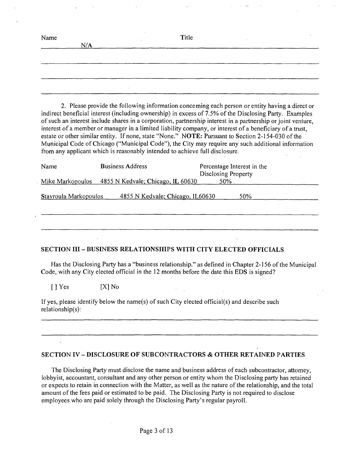| Name | N/A |        | Title |  |
|------|-----|--------|-------|--|
|      |     |        |       |  |
|      |     |        |       |  |
|      |     | $\sim$ |       |  |

2. Please provide the following information conceming each person or entity having a direct or indirect beneficial interest (including ownership) in excess of 7.5% of the Disclosing Party. Examples of such an interest include shares in a corporation, partnership interest in a partnership or joint venture, interest of a member or manager in a limited liability company, or interest of a beneficiary of a trust, estate or other similar entity. If none, state "None." NOTE: Pursuant to Section 2-154-030 of the Municipal Code of Chicago ("Municipal Code"), the City may require any such additional information from any applicant which is reasonably intended to achieve full disclosure.

| Name                  | <b>Business Address</b>             | Percentage Interest in the<br>Disclosing Property |
|-----------------------|-------------------------------------|---------------------------------------------------|
| Mike Markopoulos      | 4855 N Kedvale; Chicago, IL $60630$ | 50%                                               |
| Stavroula Markopoulos | 4855 N Kedvale; Chicago, IL60630    | 50%                                               |
|                       |                                     |                                                   |

### **SECTION in - BUSINESS RELATIONSHIPS WITH CITY ELECTED OFFICIALS**

Has the Disclosing Party has a "business relationship." as defined in Chapter 2-156 of the Municipal Code, with any City elected official in the 12 months before the date this EDS is signed?

[JYes [XJNo

| If yes, please identify below the name(s) of such City elected official(s) and describe such |  |
|----------------------------------------------------------------------------------------------|--|
| relationship(s):                                                                             |  |

### **SECTION IV - DISCLOSURE OF SUBCONTRACTORS & OTHER RETAINED PARTIES**

The Disclosing Party must disclose the name and business address of each subcontractor, attomey, lobbyist, accountant, consultant and any other person or entity whom the Disclosing party has retained or expects to retain in connection with the Matter, as well as the nature ofthe relationship, and the total amount of the fees paid or estimated to be paid. The Disclosing Party is not required to disclose employees who are paid solely through the Disclosing Party's regular payroll.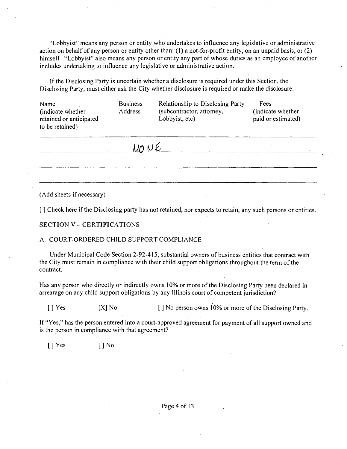"Lobbyist" means any person or entity who undertakes to influence any legislative or administrative action on behalf of any person or entity other than: (1) a not-for-profit entity, on an unpaid basis, or (2) himself "Lobbyist" also means any person or entity any part of whose duties as an employee of another includes undertaking to influence any legislative or administrative action.

If the Disclosing Party is uncertain whether a disclosure is required under this Section, the Disclosing Party, must either ask the City whether disclosure is required or make the disclosure.

| Name<br>(indicate whether)<br>retained or anticipated<br>to be retained) | <b>Business</b><br><b>Address</b> | Relationship to Disclosing Party<br>(subcontractor, attomey,<br>Lobbyist, etc) | Fees<br>(indicate whether)<br>paid or estimated) |
|--------------------------------------------------------------------------|-----------------------------------|--------------------------------------------------------------------------------|--------------------------------------------------|
|                                                                          |                                   |                                                                                |                                                  |

 $U$ <sub> $O$ </sub> $U$  $E$ 

(Add sheets if necessary)

[ ] Check here if the Disclosing party has not retained, nor expects to retain, any such persons or entities.

#### **SECTION V - CERTIFICATIONS**

#### A. COURT-ORDERED CHILD SUPPORT COMPLIANCE

Under Municipal Code Section 2-92-415, substantial owners of business entities that contract with the City must remain in compliance with their child support obligations throughout the term of the contract.

Has any person who directly or indirectly owns 10% or more of the Disclosing Party been declared in arrearage on any child support obligations by any Illinois court of competent jurisdiction?

[ ] Yes [X] No [ ] No person owns 10% or more of the Disclosing Party.

If "Yes," has the person entered into a court-approved agreement for payment of all support owned and is the person in compliance with that agreement?

 $[$  | Yes  $[$  | No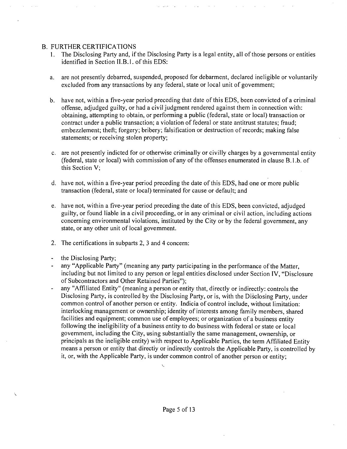### B. FURTHER CERTIFICATIONS

- 1. The Disclosing Party and, if the Disclosing Party is a legal entity, all of those persons or entities identified in Section II.B.l. of this EDS:
- a. are not presently debarred, suspended, proposed for debarment, declared ineligible or voluntarily excluded from any transactions by any federal, state or local unit of govemment;
- b. have not, within a five-year period preceding that date of this EDS, been convicted of a criminal offense, adjudged guilty, or had a civil judgment rendered against them in connection with: obtaining, attempting to obtain, or performing a public (federal, state or local) transaction or contract under a public transaction; a violation of federal or state antitrust statutes; fraud; embezzlement; theft; forgery; bribery; falsification or destruction of records; making false statements; or receiving stolen property;
- c. are not presently indicted for or otherwise criminally or civilly charges by a governmental entity (federal, state or local) with commission of any of the offenses enumerated in clause  $B.1.b.$  of this Section V;
- d. have not, within a five-year period preceding the date of this EDS, had one or more public transaction (federal, state or local) terminated for cause or default; and
- e. have not, within a five-year period preceding the date of this EDS, been convicted, adjudged guilty, or found liable in a civil proceeding, or in any criminal or civil action, including actions concerning environmental violations, instituted by the City or by the federal government, any state, or any other unit of local govemment.
- 2. The certifications in subparts 2, 3 and 4 concern:
- the Disclosing Party;  $\sim$

À.

- any "Applicable Party" (meaning any party participating in the performance of the Matter, including but not limited to any person or legal entities disclosed under Section IV, "Disclosure of Subcontractors and Other Retained Parties");
- any "Affiliated Entity" (meaning a person or entity that, directly or indirectly: controls the Disclosing Party, is controlled by the Disclosing Party, or is, with the Disclosing Party, under common control of another person or entity. Indicia of control include, without limitation; interlocking management or ownership; identity of interests among family members, shared facilities and equipment; common use of employees; or organization of a business entity following the ineligibility of a business entity to do business with federal or state or local government, including the City, using substantially the same management, ownership, or principals as the ineligible entity) with respect to Applicable Parties, the term Affiliated Entity means a person or entity that directiy or indirectly controls the Applicable Party, is controlled by it, or, with the Applicable Party, is under common control of another person or entity;

 $\mathbf{v}$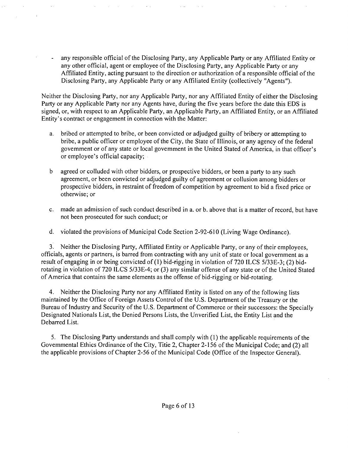- any responsible official of the Disclosing Party, any Applicable Party or any Affiliated Entity or any other official, agent or employee of the Disclosing Party, any Applicable Party or any Affiliated Entity, acting pursuant to the direction or authorization of a responsible official of the Disclosing Party, any Applicable Party or any Affiliated Entity (collectively "Agents").

Neither the Disclosing Party, nor any Applicable Party, nor any Affiliated Entity of either the Disclosing Party or any Applicable Party nor any Agents have, during the five years before the date this EDS is signed, or, with respect to an Applicable Party, an Applicable Party, an Affiliated Entity, or an Affiliated Entity's contract or engagement in connection with the Matter:

- a. bribed or attempted to bribe, or been convicted or adjudged guilty of bribery or attempting to bribe, a public officer or employee of the City, the State of Illinois, or any agency of the federal govemment or of any state or local govemment in the United Stated of America, in that officer's or employee's official capacity;
- b agreed or colluded with other bidders, or prospective bidders, or been a party to any such agreement, or been convicted or adjudged guilty of agreement or collusion among bidders or prospective bidders, in restraint of freedom of competition by agreement to bid a fixed price or otherwise; or
- c. made an admission of such conduct described in a. or b. above that is a matter of record, but have not been prosecuted for such conduct; or
- d. violated the provisions of Municipal Code Section 2-92-610 (Living Wage Ordinance).

3. Neither the Disclosing Party, Affiliated Entity or Applicable Party, or any of their employees, officials, agents or partners, is barred from contracting with any unit of state or local government as a result of engaging in or being convicted of (1) bid-rigging in violation of 720 ILCS 5/33E-3; (2) bidrotating in violation of 720 ILCS 5/33E-4; or (3) any similar offense of any state or of the United Stated of America that contains the same elements as the offense of bid-rigging or bid-rotating.

4. Neither the Disclosing Party nor any Affiliated Entity is listed on any of the following lists maintained by the Office of Foreign Assets Control of the U.S. Department of the Treasury or the Bureau of Industry and Security of the U.S. Department of Commerce or their successors: the Specially Designated Nationals List, the Denied Persons Lists, the Unverified List, the Entity List and the Debarred List.

5. The Disclosing Party understands and shall comply with (1) the applicable requirements of the Govemmental Ethics Ordinance of the City, Titie 2, Chapter 2-156 of the Municipal Code; and (2) all the applicable provisions of Chapter 2-56 of the Municipal Code (Office of the Inspector General).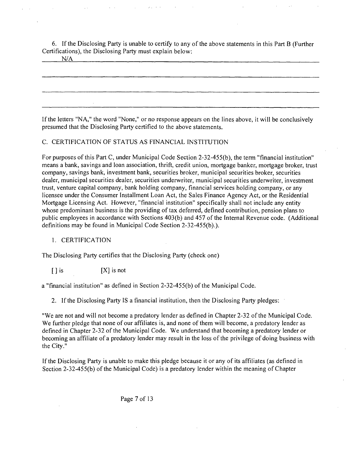6. If the Disclosing Party is unable to certify to any of the above statements in this Part B (Further Certifications), the Disclosing Party must explain below:

N/A

If the letters "NA," the word "None," or no response appears on the lines above, it will be conclusively presumed that the Disclosing Party certified to the above statements.

### C. CERTIFICATION OF STATUS AS FINANCIAL INSTITUTION

For purposes of this Part C, under Municipal Code Section 2-32-455(b), the term "financial institution" means a bank, savings and loan association, thrift, credit union, mortgage banker, mortgage broker, trust company, savings bank, investment bank, securities broker, municipal securities broker, securities dealer, municipal securities dealer, securities underwriter, municipal securities underwriter, investment trust, venture capital company, bank holding company, financial services holding company, or any licensee under the Consumer Installment Loan Act, the Sales Finance Agency Act, or the Residential Mortgage Licensing Act. However, "financial institution" specifically shall not include any entity whose predominant business is the providing of tax deferred, defined contribution, pension plans to public employees in accordance with Sections 403(b) and 457 of the Internal Revenue code. (Additional definitions may be found in Municipal Code Section 2-32-455(b).).

### 1. CERTIFICATION

The Disclosing Party certifies that the Disclosing Party (check one)

 $[1]$  is  $[2]$  is not

a "financial institution" as defined in Section 2-32-455(b) of the Municipal Code.

2. If the Disclosing Party IS a financial institution, then the Disclosing Party pledges:

"We are not and will not become a predatory lender as defined in Chapter 2-32 ofthe Municipal Code. We further pledge that none of our affiliates is, and none of them will become, a predatory lender as defined in Chapter 2-32 of the Municipal Code. We understand that becoming a predatory lender or becoming an affiliate of a predatory lender may result in the loss of the privilege of doing business with the City."

If the Disclosing Party is unable to make this pledge because it or any of its affiliates (as defined in Section 2-32-455(b) of the Municipal Code) is a predatory lender within the meaning of Chapter

Page 7 of 13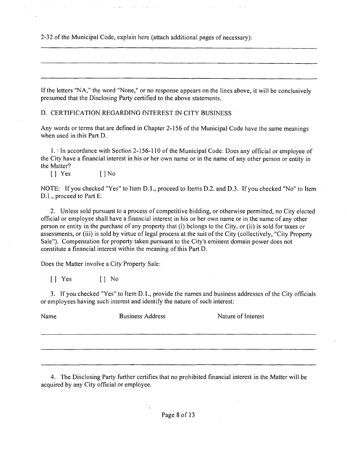-32 of the Municipal Code, explain here (attach additional pages of necessary):

If the letters "NA," the word "None," or no response appears on the lines above, it will be conclusively presumed that the Disclosing Party certified to the above statements.

D. CERTIFICATION REGARDING INTEREST IN CITY BUSINESS

Any words or terms that are defined in Chapter 2-156 of the Municipal Code have the same meanings when used in this Part D.

1. • In accordance with Section 2-156-110 of the Municipal Code: Does any official or employee of the City have a financial interest in his or her own name or in the name of any other person or entity in the Matter?

[] Yes [] No

NOTE: If you checked "Yes" to Item D.L, proceed to Items D.2. and D.3. If you checked "No" to Item D.1., proceed to Part E.

2. Unless sold pursuant to a process of competitive bidding, or otherwise permitted, no City elected official or employee shall have a financial interest in his or her own name or in the name of any other person or entity in the purchase of any property that (i) belongs to the City, or (ii) is sold for taxes or assessments, or (iii) is sold by virtue of legal process at the suit of the City (collectively, "City Property Sale"). Compensation for property taken pursuant to the City's eminent domain power does not constitute a financial interest within the meaning of this Part D.

Does the Matter involve a City Property Sale:

[ ] Yes [ ] No

3. If you checked "Yes" to Item D.L, provide the names and business addresses of the City officials or employees having such interest and identify the nature of such interest:

Name Business Address Nature of Interest

4. The Disclosing Party further certifies that no prohibited financial interest in the Matter will be acquired by any City official or employee.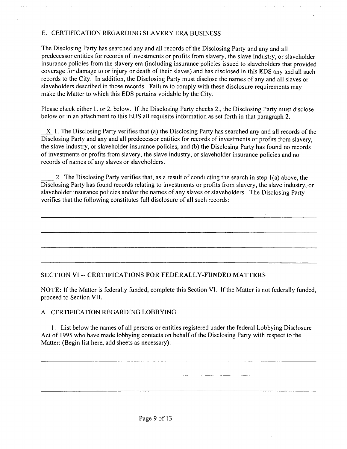### E. CERTIFICATION REGARDING SLAVERY ERA BUSINESS

The Disclosing Party has searched any and all records of the Disclosing Party and any and all predecessor entities for records of investments or profits from slavery, the slave industry, or slaveholder insurance policies from the slavery era (including insurance policies issued to slaveholders that provided coverage for damage to or injury or death of their slaves) and has disclosed in this EDS any and all such records to the City. In addition, the Disclosing Party must disclose the names of any and all slaves or slaveholders described in those records. Failure to comply with these disclosure requirements may make the Matter to which this EDS pertains voidable by the City.

Please check either 1. or 2. below. If the Disclosing Party checks 2., the Disclosing Party must disclose below or in an attachment to this EDS all requisite information as set forth in that paragraph 2.

 $X$  1. The Disclosing Party verifies that (a) the Disclosing Party has searched any and all records of the Disclosing Party and any and all predecessor entities for records of investments or profits from slavery, the slave industry, or slaveholder insurance policies, and (b) the Disclosing Party has found no records of investments or profits from slavery, the slave industry, or slaveholder insurance policies and no records of names of any slaves or slaveholders.

2. The Disclosing Party verifies that, as a result of conducting the search in step 1(a) above, the Disclosing Party has found records relating to investments or profits from slavery, the slave industry, or slaveholder insurance policies and/or the names of any slaves or slaveholders. The Disclosing Party verifies that the following constitutes full disclosure of all such records:

### **SECTION VI - CERTIFICATIONS FOR FEDERALLY-FUNDED MATTERS**

NOTE: If the Matter is federally funded, complete this Section VI. If the Matter is not federally funded, proceed to Section VII.

### A. CERTIFICATION REGARDING LOBBYING

1. List below the names of all persons or entities registered under the federal Lobbying Disclosure Act of 1995 who have made lobbying contacts on behalf of the Disclosing Party with respect to the Matter; (Begin list here, add sheets as necessary);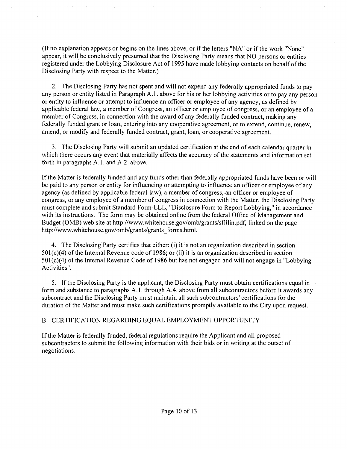(If no explanation appears or begins on the lines above, or if the letters "NA" or ifthe work "None" appear, it will be conclusively presumed that the Disclosing Party means that NO persons or entities registered under the Lobbying Disclosure Act of 1995 have made lobbying contacts on behalf of the Disclosing Party with respect to the Matter.)

2. The Disclosing Party has not spent and will not expend any federally appropriated funds to pay any person or entity listed in Paragraph A.l . above for his or her lobbying activities or to pay any person or entity to influence or attempt to infiuence an officer or employee of any agency, as defined by applicable federal law, a member of Congress, an officer or employee of congress, or an employee of a member of Congress, in connection with the award of any federally funded contract, making any federally funded grant or loan, entering into any cooperative agreement, or to extend, continue, renew, amend, or modify and federally funded contract, grant, loan, or cooperative agreement.

3. The Disclosing Party will submit an updated certification at the end of each calendar quarter in which there occurs any event that materially affects the accuracy of the statements and information set forth in paragraphs A.l . and A.2. above.

If the Matter is federally funded and any funds other than federally appropriated funds have been or will be paid to any person or entity for influencing or attempting to influence an officer or employee of any agency (as defined by applicable federal law), a member of congress, an officer or employee of congress, or any employee of a member of congress in connection with the Matter, the Disclosing Party must complete and submit Standard Form-LLL, "Disclosure Form to Report Lobbying," in accordance with its instructions. The form may be obtained online from the federal Office of Management and Budget (OMB) web site at http://www.whitehouse.gov/omb/grants/sflilin.pdf, linked on the page http://www.whitehouse.gov/omb/grants/grants\_forms.html.

4. The Disclosing Party certifies that either: (i) it is not an organization described in section 501(c)(4) of the Intemal Revenue code of 1986; or (ii) it is an organization described in section 501(c)(4) of the Intemal Revenue Code of 1986 but has not engaged and will not engage in "Lobbying Activities".

5. If the Disclosing Party is the applicant, the Disclosing Party must obtain certifications equal in form and substance to paragraphs A. I. through A.4. above from all subcontractors before it awards any subcontract and the Disclosing Party must maintain all such subcontractors' certifications for the duration of the Matter and must make such certifications promptly available to the City upon request.

### B. CERTIFICATION REGARDING EQUAL EMPLOYMENT OPPORTUNITY

If the Matter is federally funded, federal regulations require the Applicant and all proposed subcontractors to submit the following information with their bids or in writing at the outset of negotiations.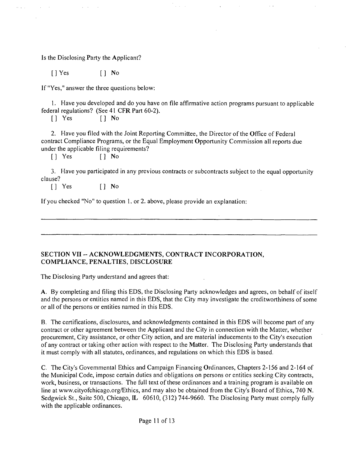Is the Disclosing Party the Applicant?

[JYes [J No

If "Yes," answer the three questions below:

1. Have you developed and do you have on file affirmative action programs pursuant to applicable federal regulations? (See 41 CFR Part 60-2).

[J Yes [] No

2. Have you filed with the Joint Reporting Committee, the Director of the Office of Federal contract Compliance Programs, or the Equal Employment Opportunity Commission all reports due under the applicable filing requirements?

[J Yes [] No

3. Have you participated in any previous contracts or subcontracts subject to the equal opportunity clause?

[] Yes [] No

If you checked "No" to question 1. or 2. above, please provide an explanation:

### **SECTION VII - ACKNOWLEDGMENTS, CONTRACT INCORPORATION, COMPLIANCE, PENALTIES, DISCLOSURE**

The Disclosing Party understand and agrees that:

A. By completing and filing this EDS, the Disclosing Party acknowledges and agrees, on behalf of itself and the persons or entities named in this EDS, that the City may investigate the creditworthiness of some or all of the persons or entities named in this EDS.

B. The certifications, disclosures, and acknowledgments contained in this EDS will become part of any contract or other agreement between the Applicant and the City in connection with the Matter, whether procurement. City assistance, or other City action, and are material inducements to the City's execution of any contract or taking other action with respect to the Matter. The Disclosing Party understands that it must comply with all statutes, ordinances, and regulations on which this EDS is based.

C. The City's Govemmental Ethics and Campaign Financing Ordinances, Chapters 2-156 and 2-164 of the Municipal Code, impose certain duties and obligations on persons or entities seeking City contracts, work, business, or transactions. The full text of these ordinances and a training program is available on line at www.cityofchicago.org/Ethics, and may also be obtained from the City's Board of Ethics, 740 N. Sedgwick St., Suite 500, Chicago, IL 60610, (312) 744-9660. The Disclosing Party must comply fully with the applicable ordinances.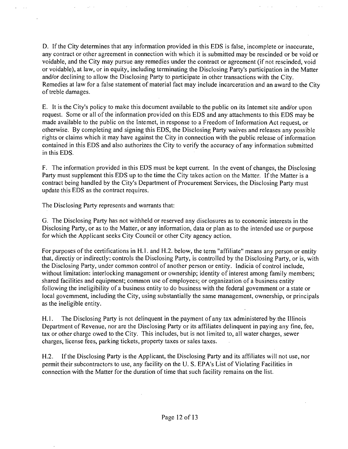D. If the City determines that any information provided in this EDS is false, incomplete or inaccurate, any contract or other agreement in connection with which it is submitted may be rescinded or be void or voidable, and the City may pursue any remedies under the contract or agreement (if not rescinded, void or voidable), at law, or in equity, including terminating the Disclosing Party's participation in the Matter and/or declining to allow the Disclosing Party to participate in other transactions with the City. Remedies at law for a false statement of material fact may include incarceration and an award to the City of treble damages.

E. It is the City's policy to make this document available to the public on its Intemet site and/or upon request. Some or all of the infonnation provided on this EDS and any attachments to this EDS may be made available to the public on the Intemet, in response to a Freedom of Information Act request, or otherwise. By completing and signing this EDS, the Disclosing Party waives and releases any possible rights or claims which it may have against the City in connection with the public release of information contained in this EDS and also authorizes the City to verify the accuracy of any information submitted in this EDS.

F. The information provided in this EDS must be kept current. In the event of changes, the Disclosing Party must supplement this EDS up to the time the City takes action on the Matter. If the Matter is a contract being handled by the City's Department of Procurement Services, the Disclosing Party must update this EDS as the contract requires.

The Disclosing Party represents and warrants that;

G. The Disclosing Party has not withheld or reserved any disclosures as to economic interests in the Disclosing Party, or as to the Matter, or any information, data or plan as to the intended use or purpose for which the Applicant seeks City Council or other City agency action.

For purposes of the certifications in H.l. and H.2. below, the term "affiliate" means any person or entity that, directiy or indirectly: controls the Disclosing Party, is controlled by the Disclosing Party, or is, with the Disclosing Party, under common control of another person or entity. Indicia of control include, without limitation: interlocking management or ownership; identity of interest among family members; shared facilities and equipment; common use of employees; or organization of a business entity following the ineligibility of a business entity to do business with the federal govemment or a state or local govemment, including the City, using substantially the same management, ownership, or principals as the ineligible entity.

H.1. The Disclosing Party is not delinquent in the payment of any tax administered by the Illinois Department of Revenue, nor are the Disclosing Party or its affiliates delinquent in paying any fine, fee, tax or other charge owed to the City. This includes, but is not limited to, all water charges, sewer charges, license fees, parking tickets, property taxes or sales taxes.

H.2. If the Disclosing Party is the Applicant, the Disclosing Party and its affiliates will not use, nor permit their subcontractors to use, any facility on the U. S. EPA's List of Violating Facilities in connection with the Matter for the duration of time that such facility remains on the list.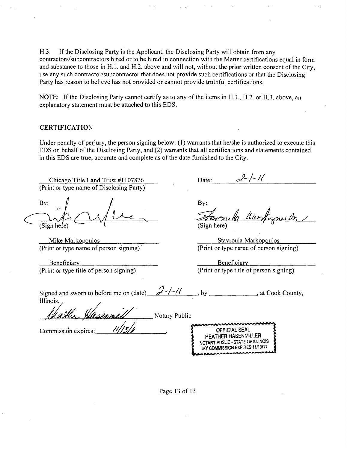H.3. If the Disclosing Party is the Applicant, the Disclosing Party will obtain from any contractors/subcontractors hired or to be hired in connection with the Matter certifications equal in form and substance to those in H.l . and H.2. above and will not, without the prior written consent of the City, use any such contractor/subcontractor that does not provide such certifications or that the Disclosing Party has reason to believe has not provided or cannot provide tmthful certifications.

NOTE: If the Disclosing Party cannot certify as to any of the items in H.1., H.2. or H.3. above, an explanatory statement must be attached to this EDS.

#### **CERTIFICATION**

Under penalty of perjury, the person signing below: (1) warrants that he/she is authorized to execute this EDS on behalf of the Disclosing Party, and (2) warrants that all certifications and statements contained in this EDS are tme, accurate and complete as of the date fumished to the City.

Chicago Title Land Trust #1107876 (Print or type name of Disclosing Party)

By: (Sign he*t*e)

Mike Markopoulos (Print or type name of person signing)

Beneficiary (Print or type title of person signing)

 $2 - 1 - 11$ Date:

By:

(Sign here) y

Stavroula Markopoulos (Print or type name of person signing)

Beneficiary (Print or type title of person signing)

| Signed and sworn to before me on (date) $\frac{\partial}{\partial t}$ -/-// , by |  | $\Box$ , at Cook County, |
|----------------------------------------------------------------------------------|--|--------------------------|
| Illinois.                                                                        |  |                          |

Charles Hasenmel Notary Public

Commission expires:\_

| manningsannannann                 |
|-----------------------------------|
| OFFICIAL SEAL                     |
| <b>HEATHER HASENMILLER</b>        |
| NOTARY PUSLIC - STATE OF ILLINOIS |
| MY COMMISSION EXPIRES:11/13/11    |
|                                   |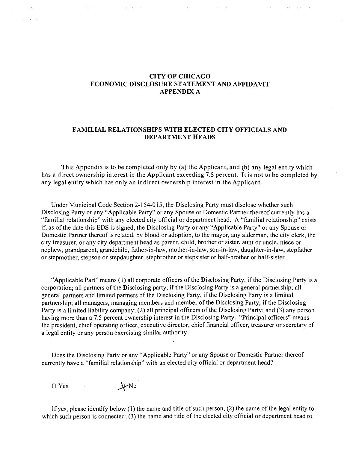### **CITY OF CHICAGO ECONOMIC DISCLOSURE STATEMENT AND AFFIDAVIT APPENDIX A**

### **FAMILIAL RELATIONSHIPS WITH ELECTED CITY OFFICIALS AND DEPARTMENT HEADS**

**This Appendix is to be completed only by (a) the Applicant, and (b) any legal entity which has a direct ownership interest in the Applicant exceeding 7.5 percent. It is not to be completed by any legal entity which has only an indirect ownership interest in the Applicant.** 

Under Municipal Code Section 2-154-015, the Disclosing Party must disclose whether such Disclosing Party or any "Applicable Party" or any Spouse or Domestic Partner thereof currently has a "familial relationship" with any elected city official or department head. A "familial relationship" exists if, as of the date this EDS is signed, the Disclosing Party or any "Applicable Party" or any Spouse or Domestic Partner thereof is related, by blood or adoption, to the mayor, any alderman, the city clerk, the city treasurer, or any city department head as parent, child, brother or sister, aunt or uncle, niece or nephew, grandparent, grandchild, father-in-law, mother-in-law, son-in-law, daughter-in-law, stepfather or stepmother, stepson or stepdaughter, stepbrother or stepsister or half-brother or half-sister.

"Applicable Part" means (1) all corporate officers of the Disclosing Party, if the Disclosing Party is a corporation; all partners of the Disclosing party, if the Disclosing Party is a general partnership; all general partners and limited partners of the Disclosing Party, if the Disclosing Party is a limited partnership; all managers, managing members and member of the Disclosing Party, if the Disclosing Party is a limited liability company; (2) all principal officers of the Disclosing Party; and (3) any person having more than a 7.5 percent ownership interest in the Disclosing Party. "Principal officers" means the president, chief operating officer, executive director, chief financial officer, treasurer or secretary of a legal entity or any person exercising similar authority.

Does the Disclosing Party or any "Applicable Party" or any Spouse or Domestic Partner thereof currently have a "familial relationship" with an elected city official or department head?

□ Yes **J** *N*o

If yes, please identify below (1) the name and title of such person, (2) the name of the legal entity to which such person is connected; (3) the name and title of the elected city official or department head to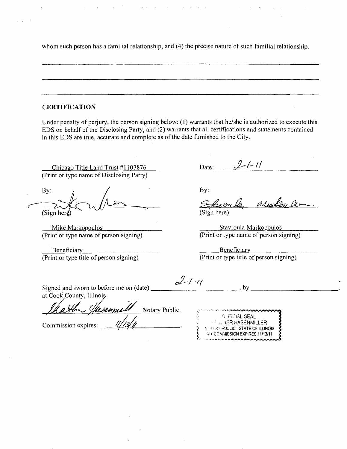whom such person has a familial relationship, and (4) the precise nature of such familial relationship.

### **CERTIFICATION**

Under penalty of perjury, the person signing below: (1) warrants that he/she is authorized to execute this EDS on behalf of the Disclosing Party, and (2) warrants that all certifications and statements contained in this EDS are true, accurate and complete as of the date furnished to the City.

Chicago Title Land Trust #1107876 (Print or type name of Disclosing Party)

By: (Sign here)

Mike Markopoulos (Print or type name of person signing)

Beneficiary (Print or type title of person signing)

Date:  $\frac{2}{\ell}$  -/-//

By:

Morton De (Sign here)

Stavroula Markopoulos (Print or type name of person signing)

Beneficiary (Print or type title of person signing)

Signed and sworn to before me on (date) \_\_\_\_ at Cook County, Illinois

Notary Public.

Commission expires:

| $2-/-11$ | DΥ. |
|----------|-----|
|          |     |

'j;-r;C:ALSEAL  $\begin{array}{ll} \frac{1}{2} & \text{if } \frac{1}{2} \leq 0 \ \text{if } \frac{1}{2} \leq 0 \ \text{if } \frac{1}{2} \leq 0 \ \text{if } \frac{1}{2} \leq 0 \ \text{if } \frac{1}{2} \leq 0 \ \text{if } \frac{1}{2} \leq 0 \ \text{if } \frac{1}{2} \leq 0 \ \text{if } \frac{1}{2} \leq 0 \ \text{if } \frac{1}{2} \leq 0 \ \text{if } \frac{1}{2} \leq 0 \ \text{if } \frac{1}{2} \leq 0 \ \text{if } \frac$ No PLAY PUBLIC - STATE OF ILLINOIS **MY COMMISSION EXPIRES:11/13/11**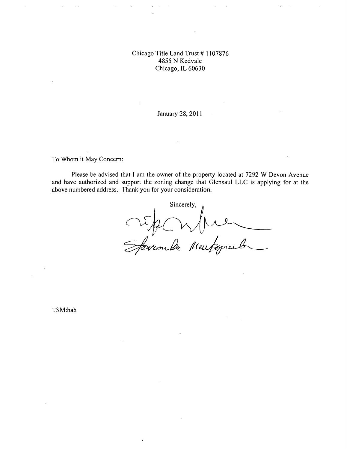### Chicago Titie Land Trust # 1107876 4855 N Kedvale Chicago, IL 60630

January 28, 201

To Whom it May Concem:

Please be advised that I am the owner of the property located at 7292 W Devon Avenue and have authorized and support the zoning change that Glensaul LLC is applying for at the above numbered address. Thank you for your consideration.

Sincerely, Sparale Music  $\overline{\phantom{a}}$ 

TSM:hah